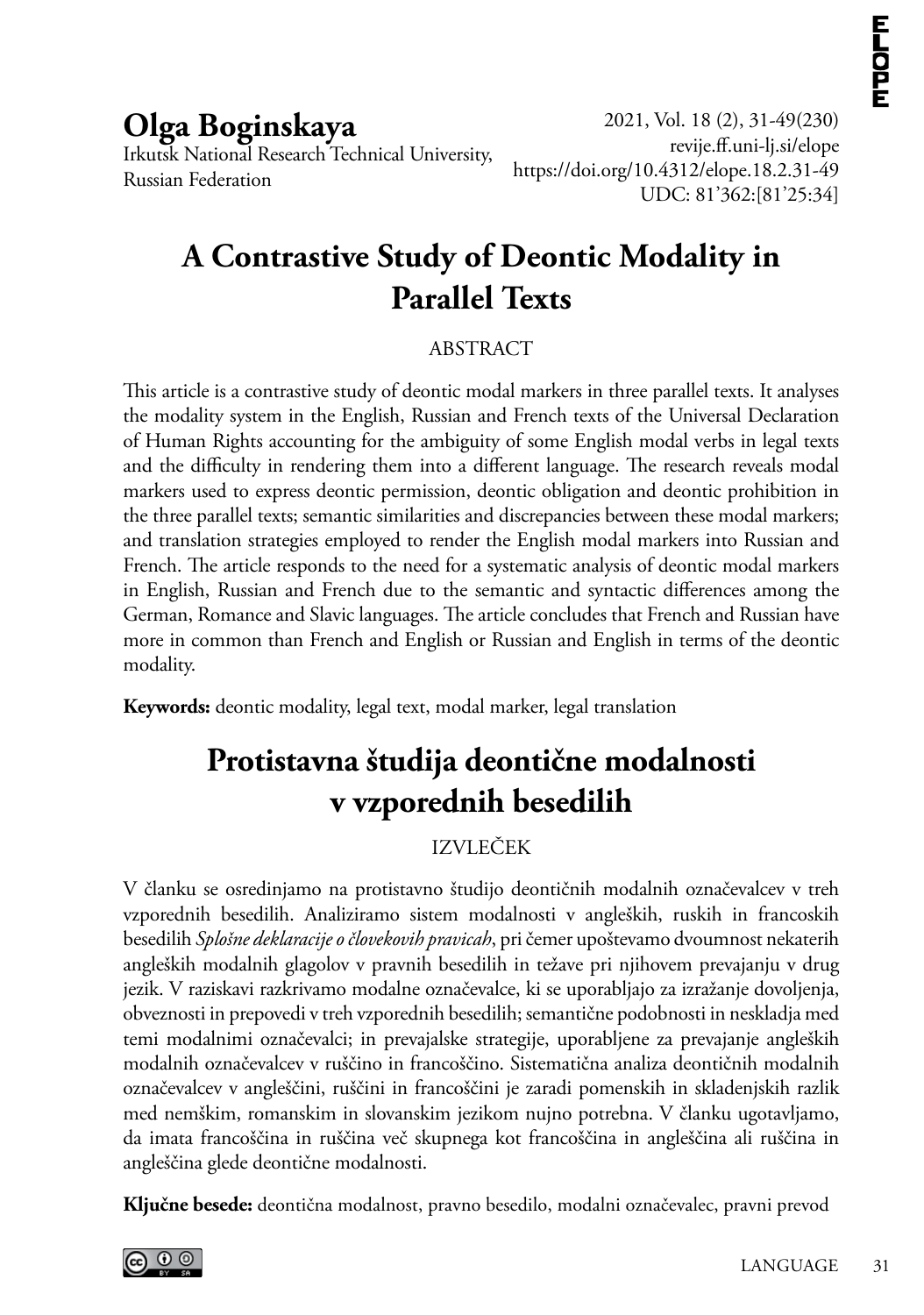**Olga Boginskaya** Irkutsk National Research Technical University, Russian Federation

2021, Vol. 18 (2), 31-49(230) <revije.ff.uni><-lj.si/elope> https://doi.org/10.431[2/elope](10.4312/elope).18.2.31-49 UDC: 81'362:[81'25:34]

# **A Contrastive Study of Deontic Modality in Parallel Texts**

#### ABSTRACT

This article is a contrastive study of deontic modal markers in three parallel texts. It analyses the modality system in the English, Russian and French texts of the Universal Declaration of Human Rights accounting for the ambiguity of some English modal verbs in legal texts and the difficulty in rendering them into a different language. The research reveals modal markers used to express deontic permission, deontic obligation and deontic prohibition in the three parallel texts; semantic similarities and discrepancies between these modal markers; and translation strategies employed to render the English modal markers into Russian and French. The article responds to the need for a systematic analysis of deontic modal markers in English, Russian and French due to the semantic and syntactic differences among the German, Romance and Slavic languages. The article concludes that French and Russian have more in common than French and English or Russian and English in terms of the deontic modality.

**Keywords:** deontic modality, legal text, modal marker, legal translation

# **Protistavna študija deontične modalnosti v vzporednih besedilih**

#### IZVLEČEK

V članku se osredinjamo na protistavno študijo deontičnih modalnih označevalcev v treh vzporednih besedilih. Analiziramo sistem modalnosti v angleških, ruskih in francoskih besedilih *Splošne deklaracije o človekovih pravicah*, pri čemer upoštevamo dvoumnost nekaterih angleških modalnih glagolov v pravnih besedilih in težave pri njihovem prevajanju v drug jezik. V raziskavi razkrivamo modalne označevalce, ki se uporabljajo za izražanje dovoljenja, obveznosti in prepovedi v treh vzporednih besedilih; semantične podobnosti in neskladja med temi modalnimi označevalci; in prevajalske strategije, uporabljene za prevajanje angleških modalnih označevalcev v ruščino in francoščino. Sistematična analiza deontičnih modalnih označevalcev v angleščini, ruščini in francoščini je zaradi pomenskih in skladenjskih razlik med nemškim, romanskim in slovanskim jezikom nujno potrebna. V članku ugotavljamo, da imata francoščina in ruščina več skupnega kot francoščina in angleščina ali ruščina in angleščina glede deontične modalnosti.

**Ključne besede:** deontična modalnost, pravno besedilo, modalni označevalec, pravni prevod

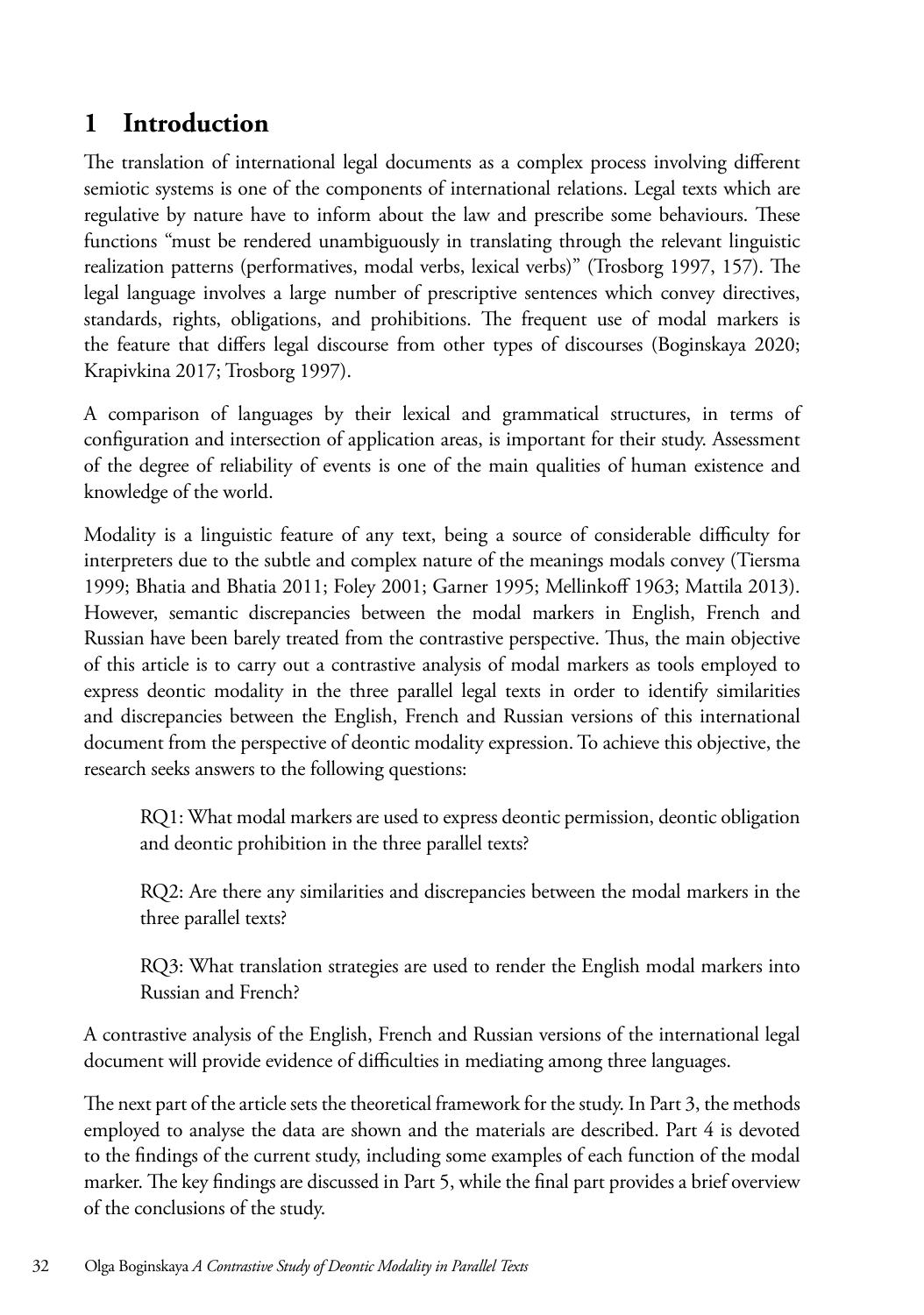### **1 Introduction**

The translation of international legal documents as a complex process involving different semiotic systems is one of the components of international relations. Legal texts which are regulative by nature have to inform about the law and prescribe some behaviours. These functions "must be rendered unambiguously in translating through the relevant linguistic realization patterns (performatives, modal verbs, lexical verbs)" (Trosborg 1997, 157). The legal language involves a large number of prescriptive sentences which convey directives, standards, rights, obligations, and prohibitions. The frequent use of modal markers is the feature that differs legal discourse from other types of discourses (Boginskaya 2020; Krapivkina 2017; Trosborg 1997).

A comparison of languages by their lexical and grammatical structures, in terms of configuration and intersection of application areas, is important for their study. Assessment of the degree of reliability of events is one of the main qualities of human existence and knowledge of the world.

Modality is a linguistic feature of any text, being a source of considerable difficulty for interpreters due to the subtle and complex nature of the meanings modals convey (Tiersma 1999; Bhatia and Bhatia 2011; Foley 2001; Garner 1995; Mellinkoff 1963; Mattila 2013). However, semantic discrepancies between the modal markers in English, French and Russian have been barely treated from the contrastive perspective. Thus, the main objective of this article is to carry out a contrastive analysis of modal markers as tools employed to express deontic modality in the three parallel legal texts in order to identify similarities and discrepancies between the English, French and Russian versions of this international document from the perspective of deontic modality expression. To achieve this objective, the research seeks answers to the following questions:

RQ1: What modal markers are used to express deontic permission, deontic obligation and deontic prohibition in the three parallel texts?

RQ2: Are there any similarities and discrepancies between the modal markers in the three parallel texts?

RQ3: What translation strategies are used to render the English modal markers into Russian and French?

A contrastive analysis of the English, French and Russian versions of the international legal document will provide evidence of difficulties in mediating among three languages.

The next part of the article sets the theoretical framework for the study. In Part 3, the methods employed to analyse the data are shown and the materials are described. Part 4 is devoted to the findings of the current study, including some examples of each function of the modal marker. The key findings are discussed in Part 5, while the final part provides a brief overview of the conclusions of the study.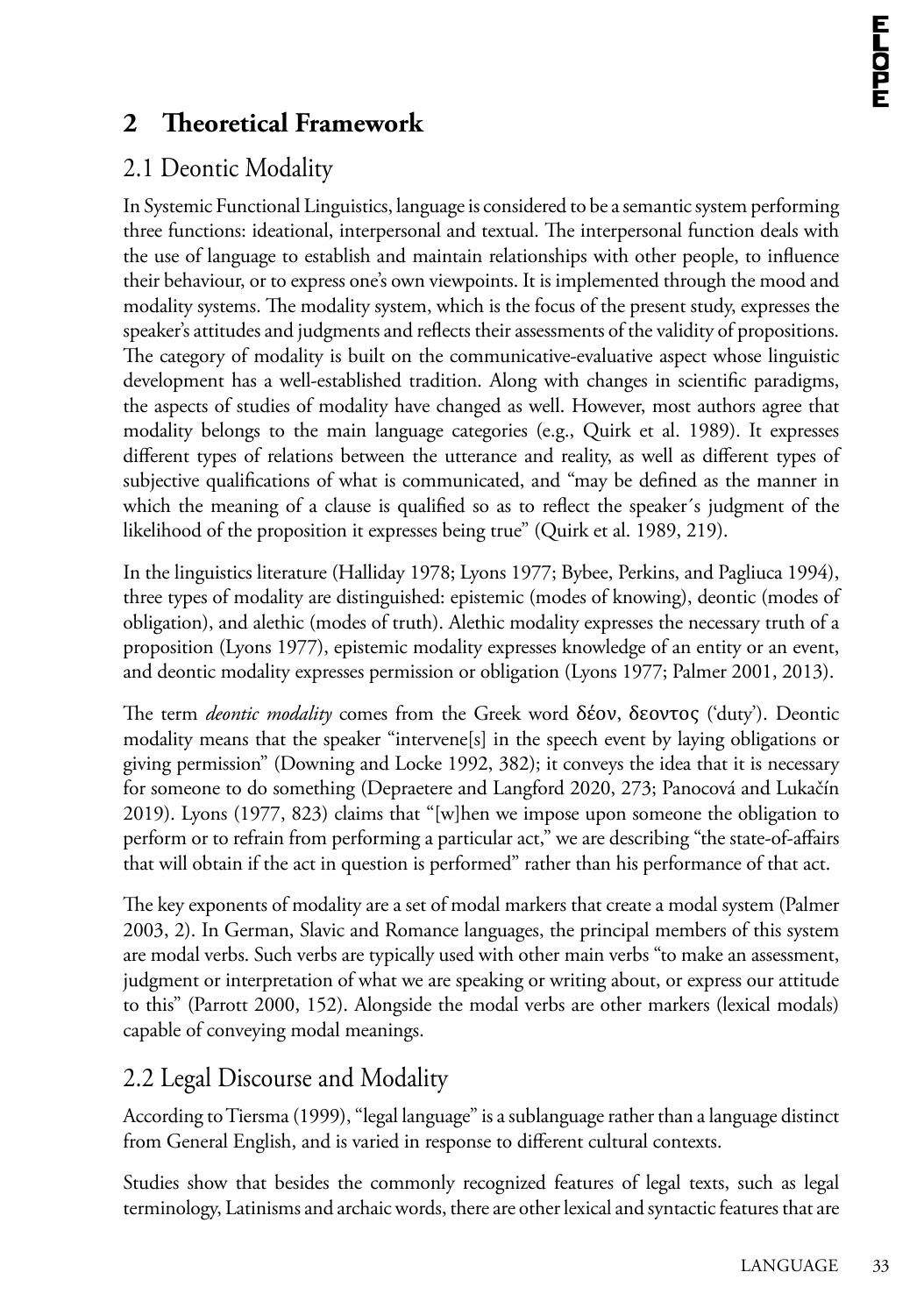## **2 Theoretical Framework**

## 2.1 Deontic Modality

In Systemic Functional Linguistics, language is considered to be a semantic system performing three functions: ideational, interpersonal and textual. The interpersonal function deals with the use of language to establish and maintain relationships with other people, to influence their behaviour, or to express one's own viewpoints. It is implemented through the mood and modality systems. The modality system, which is the focus of the present study, expresses the speaker's attitudes and judgments and reflects their assessments of the validity of propositions. The category of modality is built on the communicative-evaluative aspect whose linguistic development has a well-established tradition. Along with changes in scientific paradigms, the aspects of studies of modality have changed as well. However, most authors agree that modality belongs to the main language categories (e.g., Quirk et al. 1989). It expresses different types of relations between the utterance and reality, as well as different types of subjective qualifications of what is communicated, and "may be defined as the manner in which the meaning of a clause is qualified so as to reflect the speaker´s judgment of the likelihood of the proposition it expresses being true" (Quirk et al. 1989, 219).

In the linguistics literature (Halliday 1978; Lyons 1977; Bybee, Perkins, and Pagliuca 1994), three types of modality are distinguished: epistemic (modes of knowing), deontic (modes of obligation), and alethic (modes of truth). Alethic modality expresses the necessary truth of a proposition (Lyons 1977), epistemic modality expresses knowledge of an entity or an event, and deontic modality expresses permission or obligation (Lyons 1977; Palmer 2001, 2013).

The term *deontic modality* comes from the Greek word δέον, δεοντος ('duty'). Deontic modality means that the speaker "intervene[s] in the speech event by laying obligations or giving permission" (Downing and Locke 1992, 382); it conveys the idea that it is necessary for someone to do something (Depraetere and Langford 2020, 273; Panocová and Lukačín 2019). Lyons (1977, 823) claims that "[w]hen we impose upon someone the obligation to perform or to refrain from performing a particular act," we are describing "the state-of-affairs that will obtain if the act in question is performed" rather than his performance of that act.

The key exponents of modality are a set of modal markers that create a modal system (Palmer 2003, 2). In German, Slavic and Romance languages, the principal members of this system are modal verbs. Such verbs are typically used with other main verbs "to make an assessment, judgment or interpretation of what we are speaking or writing about, or express our attitude to this" (Parrott 2000, 152). Alongside the modal verbs are other markers (lexical modals) capable of conveying modal meanings.

## 2.2 Legal Discourse and Modality

According to Tiersma (1999), "legal language" is a sublanguage rather than a language distinct from General English, and is varied in response to different cultural contexts.

Studies show that besides the commonly recognized features of legal texts, such as legal terminology, Latinisms and archaic words, there are other lexical and syntactic features that are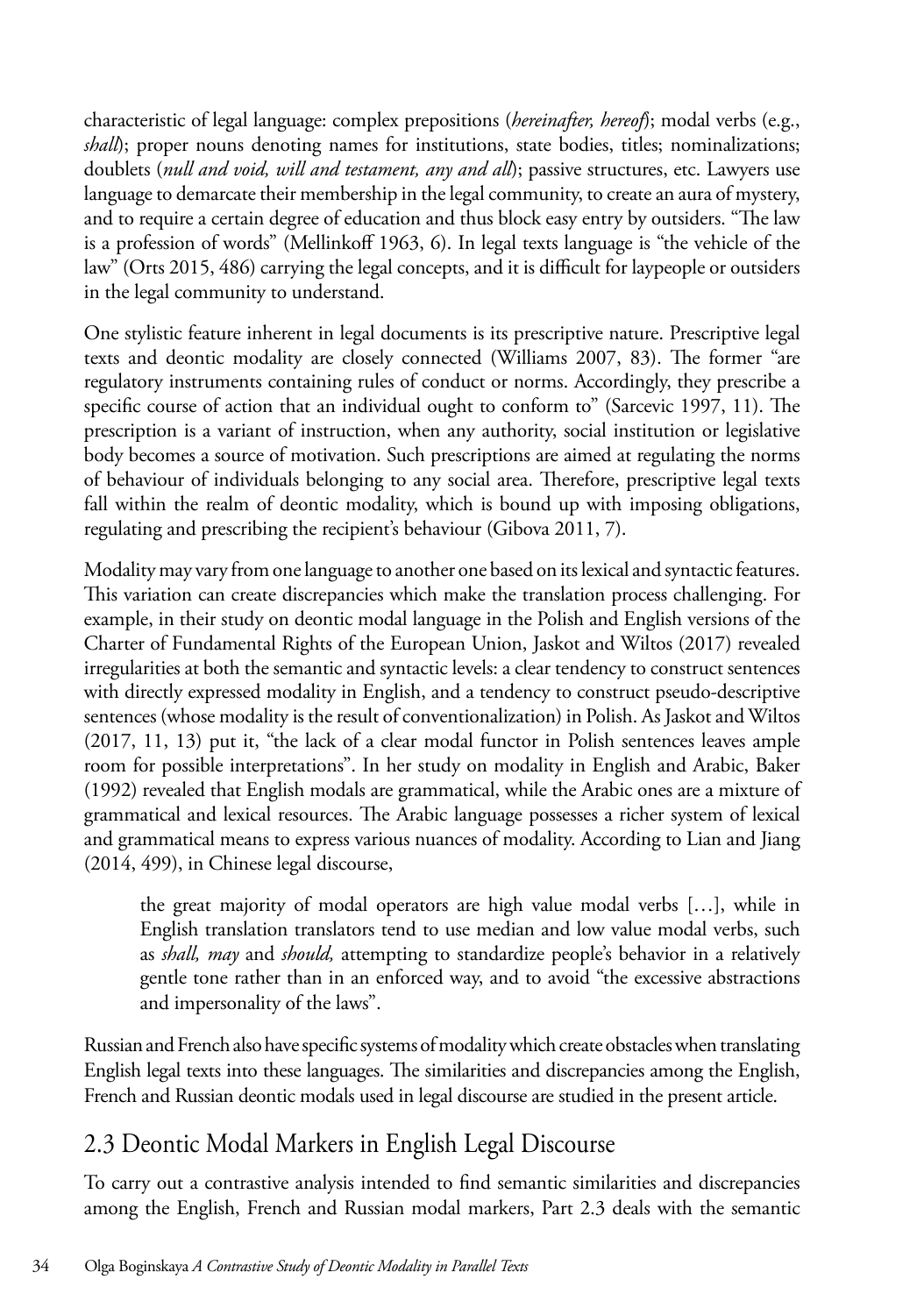characteristic of legal language: complex prepositions (*hereinafter, hereof*); modal verbs (e.g., *shall*); proper nouns denoting names for institutions, state bodies, titles; nominalizations; doublets (*null and void, will and testament, any and all*); passive structures, etc. Lawyers use language to demarcate their membership in the legal community, to create an aura of mystery, and to require a certain degree of education and thus block easy entry by outsiders. "The law is a profession of words" (Mellinkoff 1963, 6). In legal texts language is "the vehicle of the law" (Orts 2015, 486) carrying the legal concepts, and it is difficult for laypeople or outsiders in the legal community to understand.

One stylistic feature inherent in legal documents is its prescriptive nature. Prescriptive legal texts and deontic modality are closely connected (Williams 2007, 83). The former "are regulatory instruments containing rules of conduct or norms. Accordingly, they prescribe a specific course of action that an individual ought to conform to" (Sarcevic 1997, 11). The prescription is a variant of instruction, when any authority, social institution or legislative body becomes a source of motivation. Such prescriptions are aimed at regulating the norms of behaviour of individuals belonging to any social area. Therefore, prescriptive legal texts fall within the realm of deontic modality, which is bound up with imposing obligations, regulating and prescribing the recipient's behaviour (Gibova 2011, 7).

Modality may vary from one language to another one based on its lexical and syntactic features. This variation can create discrepancies which make the translation process challenging. For example, in their study on deontic modal language in the Polish and English versions of the Charter of Fundamental Rights of the European Union, Jaskot and Wiltos (2017) revealed irregularities at both the semantic and syntactic levels: a clear tendency to construct sentences with directly expressed modality in English, and a tendency to construct pseudo-descriptive sentences (whose modality is the result of conventionalization) in Polish. As Jaskot and Wiltos (2017, 11, 13) put it, "the lack of a clear modal functor in Polish sentences leaves ample room for possible interpretations". In her study on modality in English and Arabic, Baker (1992) revealed that English modals are grammatical, while the Arabic ones are a mixture of grammatical and lexical resources. The Arabic language possesses a richer system of lexical and grammatical means to express various nuances of modality. According to Lian and Jiang (2014, 499), in Chinese legal discourse,

the great majority of modal operators are high value modal verbs […], while in English translation translators tend to use median and low value modal verbs, such as *shall, may* and *should,* attempting to standardize people's behavior in a relatively gentle tone rather than in an enforced way, and to avoid "the excessive abstractions and impersonality of the laws".

Russian and French also have specific systems of modality which create obstacles when translating English legal texts into these languages. The similarities and discrepancies among the English, French and Russian deontic modals used in legal discourse are studied in the present article.

### 2.3 Deontic Modal Markers in English Legal Discourse

To carry out a contrastive analysis intended to find semantic similarities and discrepancies among the English, French and Russian modal markers, Part 2.3 deals with the semantic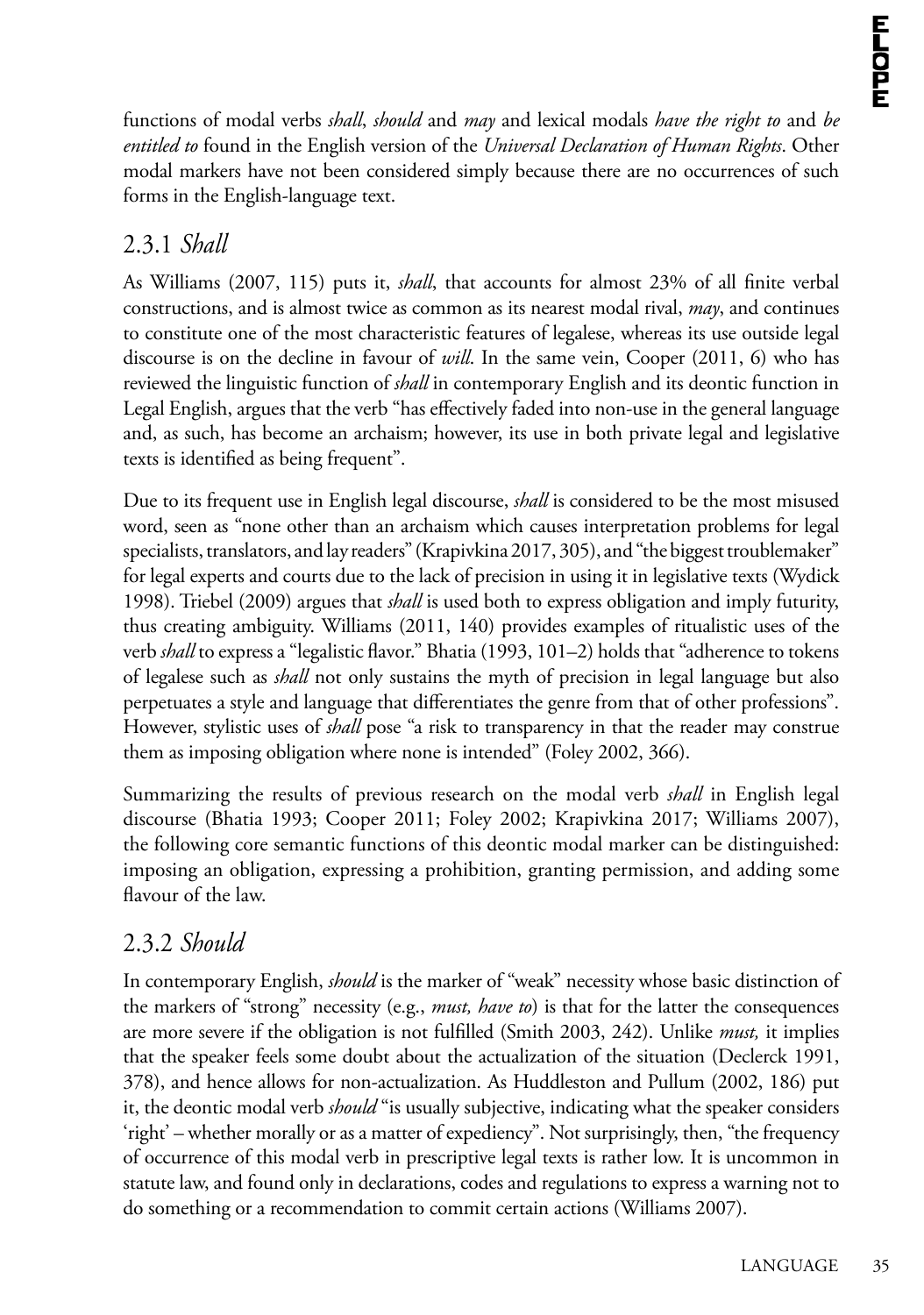functions of modal verbs *shall*, *should* and *may* and lexical modals *have the right to* and *be entitled to* found in the English version of the *Universal Declaration of Human Rights*. Other modal markers have not been considered simply because there are no occurrences of such forms in the English-language text.

### 2.3.1 *Shall*

As Williams (2007, 115) puts it, *shall*, that accounts for almost 23% of all finite verbal constructions, and is almost twice as common as its nearest modal rival, *may*, and continues to constitute one of the most characteristic features of legalese, whereas its use outside legal discourse is on the decline in favour of *will*. In the same vein, Cooper (2011, 6) who has reviewed the linguistic function of *shall* in contemporary English and its deontic function in Legal English, argues that the verb "has effectively faded into non‐use in the general language and, as such, has become an archaism; however, its use in both private legal and legislative texts is identified as being frequent".

Due to its frequent use in English legal discourse, *shall* is considered to be the most misused word, seen as "none other than an archaism which causes interpretation problems for legal specialists, translators, and lay readers" (Krapivkina 2017, 305), and "the biggest troublemaker" for legal experts and courts due to the lack of precision in using it in legislative texts (Wydick 1998). Triebel (2009) argues that *shall* is used both to express obligation and imply futurity, thus creating ambiguity. Williams (2011, 140) provides examples of ritualistic uses of the verb *shall* to express a "legalistic flavor." Bhatia (1993, 101–2) holds that "adherence to tokens of legalese such as *shall* not only sustains the myth of precision in legal language but also perpetuates a style and language that differentiates the genre from that of other professions". However, stylistic uses of *shall* pose "a risk to transparency in that the reader may construe them as imposing obligation where none is intended" (Foley 2002, 366).

Summarizing the results of previous research on the modal verb *shall* in English legal discourse (Bhatia 1993; Cooper 2011; Foley 2002; Krapivkina 2017; Williams 2007), the following core semantic functions of this deontic modal marker can be distinguished: imposing an obligation, expressing a prohibition, granting permission, and adding some flavour of the law.

#### 2.3.2 *Should*

In contemporary English, *should* is the marker of "weak" necessity whose basic distinction of the markers of "strong" necessity (e.g., *must, have to*) is that for the latter the consequences are more severe if the obligation is not fulfilled (Smith 2003, 242). Unlike *must,* it implies that the speaker feels some doubt about the actualization of the situation (Declerck 1991, 378), and hence allows for non-actualization. As Huddleston and Pullum (2002, 186) put it, the deontic modal verb *should* "is usually subjective, indicating what the speaker considers 'right' – whether morally or as a matter of expediency". Not surprisingly, then, "the frequency of occurrence of this modal verb in prescriptive legal texts is rather low. It is uncommon in statute law, and found only in declarations, codes and regulations to express a warning not to do something or a recommendation to commit certain actions (Williams 2007).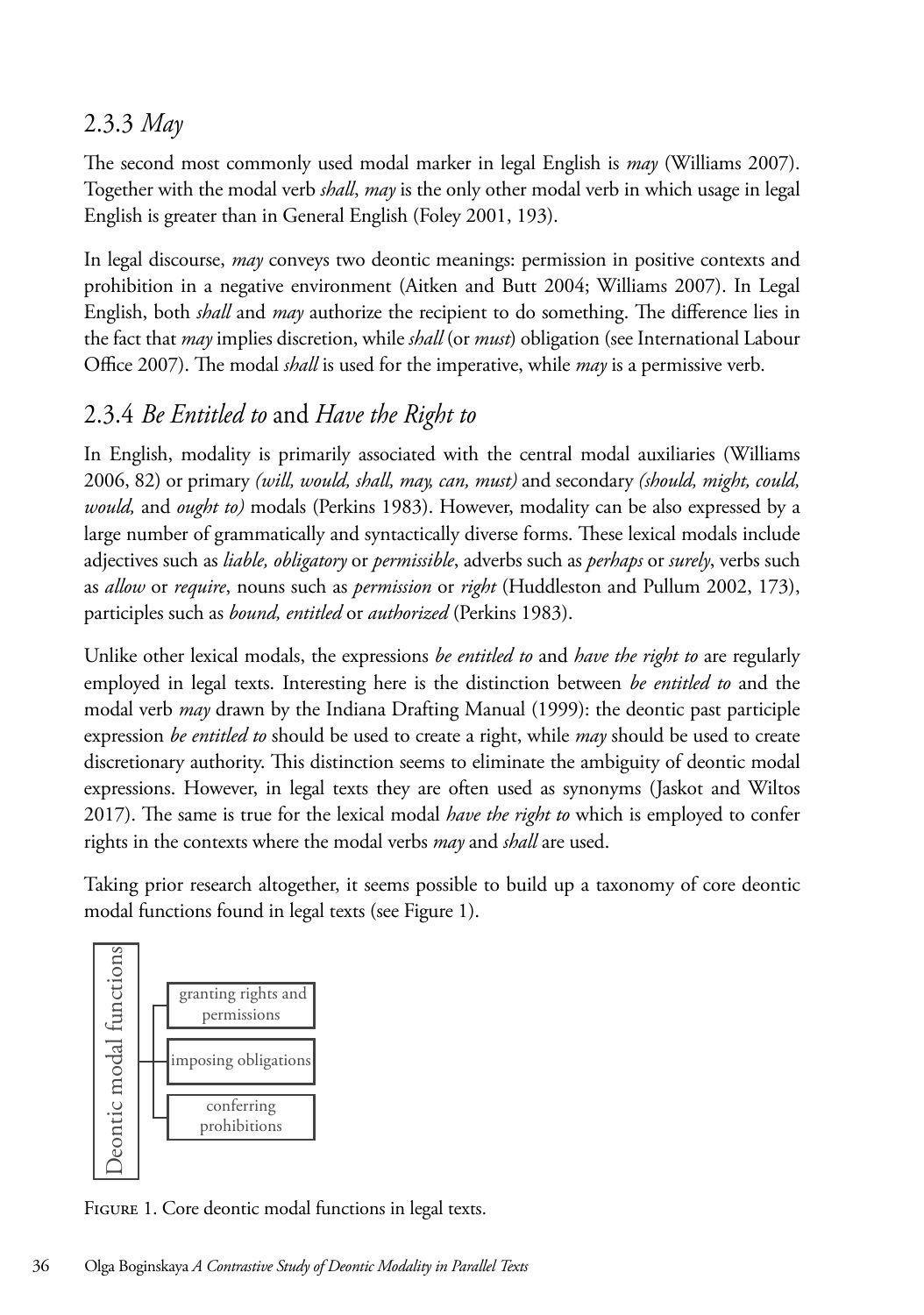### 2.3.3 *May*

The second most commonly used modal marker in legal English is *may* (Williams 2007). Together with the modal verb *shall*, *may* is the only other modal verb in which usage in legal English is greater than in General English (Foley 2001, 193).

In legal discourse, *may* conveys two deontic meanings: permission in positive contexts and prohibition in a negative environment (Aitken and Butt 2004; Williams 2007). In Legal English, both *shall* and *may* authorize the recipient to do something. The difference lies in the fact that *may* implies discretion, while *shall* (or *must*) obligation (see International Labour Office 2007). The modal *shall* is used for the imperative, while *may* is a permissive verb.

### 2.3.4 *Be Entitled to* and *Have the Right to*

In English, modality is primarily associated with the central modal auxiliaries (Williams 2006, 82) or primary (will, would, shall, may, can, must) and secondary (should, might, could, *would,* and *ought to)* modals (Perkins 1983). However, modality can be also expressed by a large number of grammatically and syntactically diverse forms. These lexical modals include adjectives such as *liable, obligatory* or *permissible*, adverbs such as *perhaps* or *surely*, verbs such as *allow* or *require*, nouns such as *permission* or *right* (Huddleston and Pullum 2002, 173), participles such as *bound, entitled* or *authorized* (Perkins 1983). In legal discourse, *may* conveys two deontic meanings: permission in positive contexts and prohibition in a negative in English, modality is primarily associated with the central **i** lexical modals include adjectives such as *liable, obligatory* or *permissible*, adverbs such as *perhaps* or *surely*, verbs such as

Unlike other lexical modals, the expressions be entitled to and have the right to are regularly employed in legal texts. Interesting here is the distinction between *be entitled to* and the modal verb *may* drawn by the Indiana Drafting Manual (1999): the deontic past participle expression be entitled to should be used to create a right, while may should be used to create discretionary authority. This distinction seems to eliminate the ambiguity of deontic modal expressions. However, in legal texts they are often used as synonyms (Jaskot and Wiltos 2017). The same is true for the lexical modal *have the right to* which is employed to confer rights in the contexts where the modal verbs *may* and *shall* are used. *entitled* or *authorized* (Perkins 1983). be used to create discretionary authority. This distinction seems to eliminate the ambiguity of deontic modal

Taking prior research altogether, it seems possible to build up a taxonomy of core deontic modal functions found in legal texts (see Figure 1).



FIGURE 1. Core deontic modal functions in legal texts.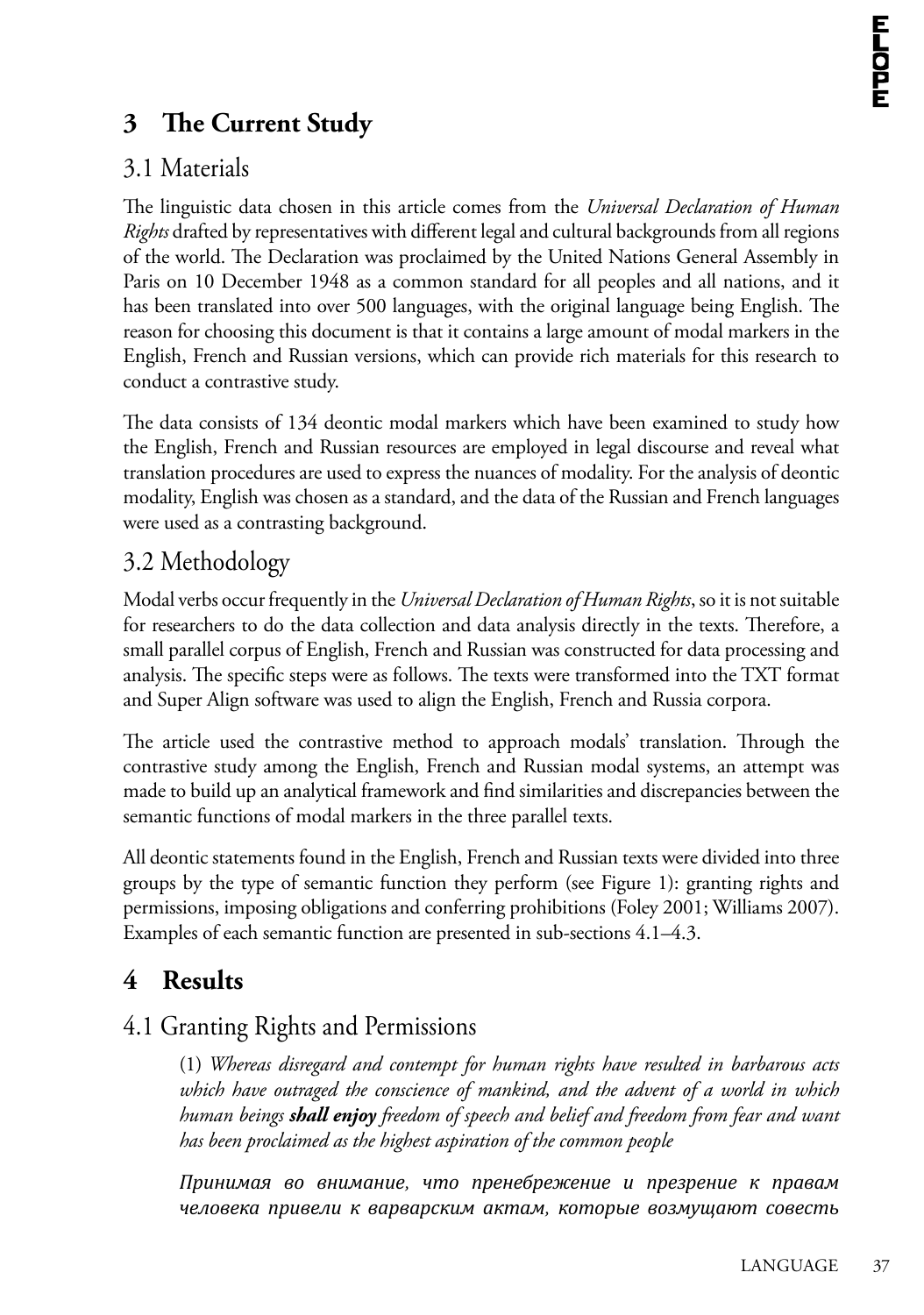## **3 The Current Study**

### 3.1 Materials

The linguistic data chosen in this article comes from the *Universal Declaration of Human Rights* drafted by representatives with different legal and cultural backgrounds from all regions of the world. The Declaration was proclaimed by the United Nations General Assembly in Paris on 10 December 1948 as a common standard for all peoples and all nations, and it has been [translated into over 500 languages, with the](http://www.ohchr.org/EN/UDHR/Pages/SearchByLang.aspx) original language being English. The reason for choosing this document is that it contains a large amount of modal markers in the English, French and Russian versions, which can provide rich materials for this research to conduct a contrastive study.

The data consists of 134 deontic modal markers which have been examined to study how the English, French and Russian resources are employed in legal discourse and reveal what translation procedures are used to express the nuances of modality. For the analysis of deontic modality, English was chosen as a standard, and the data of the Russian and French languages were used as a contrasting background.

### 3.2 Methodology

Modal verbs occur frequently in the *Universal Declaration of Human Rights*, so it is not suitable for researchers to do the data collection and data analysis directly in the texts. Therefore, a small parallel corpus of English, French and Russian was constructed for data processing and analysis. The specific steps were as follows. The texts were transformed into the TXT format and Super Align software was used to align the English, French and Russia corpora.

The article used the contrastive method to approach modals' translation. Through the contrastive study among the English, French and Russian modal systems, an attempt was made to build up an analytical framework and find similarities and discrepancies between the semantic functions of modal markers in the three parallel texts.

All deontic statements found in the English, French and Russian texts were divided into three groups by the type of semantic function they perform (see Figure 1): granting rights and permissions, imposing obligations and conferring prohibitions (Foley 2001; Williams 2007). Examples of each semantic function are presented in sub-sections 4.1–4.3.

## **4 Results**

### 4.1 Granting Rights and Permissions

(1) *Whereas disregard and contempt for human rights have resulted in barbarous acts which have outraged the conscience of mankind, and the advent of a world in which human beings shall enjoy freedom of speech and belief and freedom from fear and want has been proclaimed as the highest aspiration of the common people*

*Принимая во внимание, что пренебрежение и презрение к правам человека привели к варварским актам, которые возмущают совесть*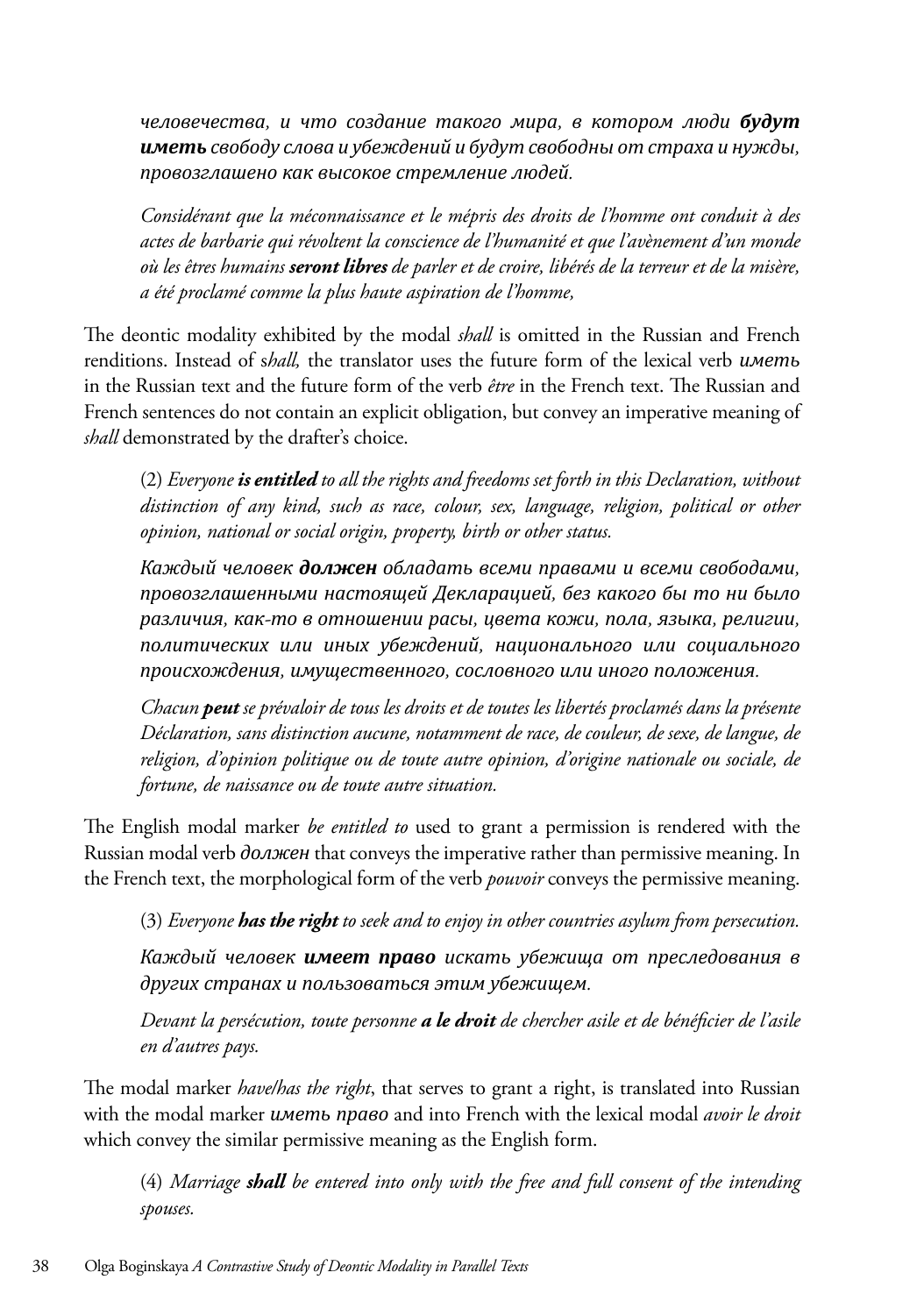*человечества, и что создание такого мира, в котором люди будут иметь свободу слова и убеждений и будут свободны от страха и нужды, провозглашено как высокое стремление людей.* 

*Considérant que la méconnaissance et le mépris des droits de l'homme ont conduit à des actes de barbarie qui révoltent la conscience de l'humanité et que l'avènement d'un monde où les êtres humains seront libres de parler et de croire, libérés de la terreur et de la misère, a été proclamé comme la plus haute aspiration de l'homme,*

The deontic modality exhibited by the modal *shall* is omitted in the Russian and French renditions. Instead of s*hall,* the translator uses the future form of the lexical verb *иметь* in the Russian text and the future form of the verb *être* in the French text. The Russian and French sentences do not contain an explicit obligation, but convey an imperative meaning of *shall* demonstrated by the drafter's choice.

(2) *Everyone is entitled to all the rights and freedoms set forth in this Declaration, without distinction of any kind, such as race, colour, sex, language, religion, political or other opinion, national or social origin, property, birth or other status.*

*Каждый человек должен обладать всеми правами и всеми свободами, провозглашенными настоящей Декларацией, без какого бы то ни было различия, как-то в отношении расы, цвета кожи, пола, языка, религии, политических или иных убеждений, национального или социального происхождения, имущественного, сословного или иного положения.* 

*Chacun peut se prévaloir de tous les droits et de toutes les libertés proclamés dans la présente Déclaration, sans distinction aucune, notamment de race, de couleur, de sexe, de langue, de religion, d'opinion politique ou de toute autre opinion, d'origine nationale ou sociale, de fortune, de naissance ou de toute autre situation.*

The English modal marker *be entitled to* used to grant a permission is rendered with the Russian modal verb *должен* that conveys the imperative rather than permissive meaning. In the French text, the morphological form of the verb *pouvoir* conveys the permissive meaning.

(3) *Everyone has the right to seek and to enjoy in other countries asylum from persecution.*

*Каждый человек имеет право искать убежища от преследования в других странах и пользоваться этим убежищем.* 

*Devant la persécution, toute personne a le droit de chercher asile et de bénéficier de l'asile en d'autres pays.*

The modal marker *have/has the right*, that serves to grant a right, is translated into Russian with the modal marker *иметь право* and into French with the lexical modal *avoir le droit* which convey the similar permissive meaning as the English form.

(4) *Marriage shall be entered into only with the free and full consent of the intending spouses.*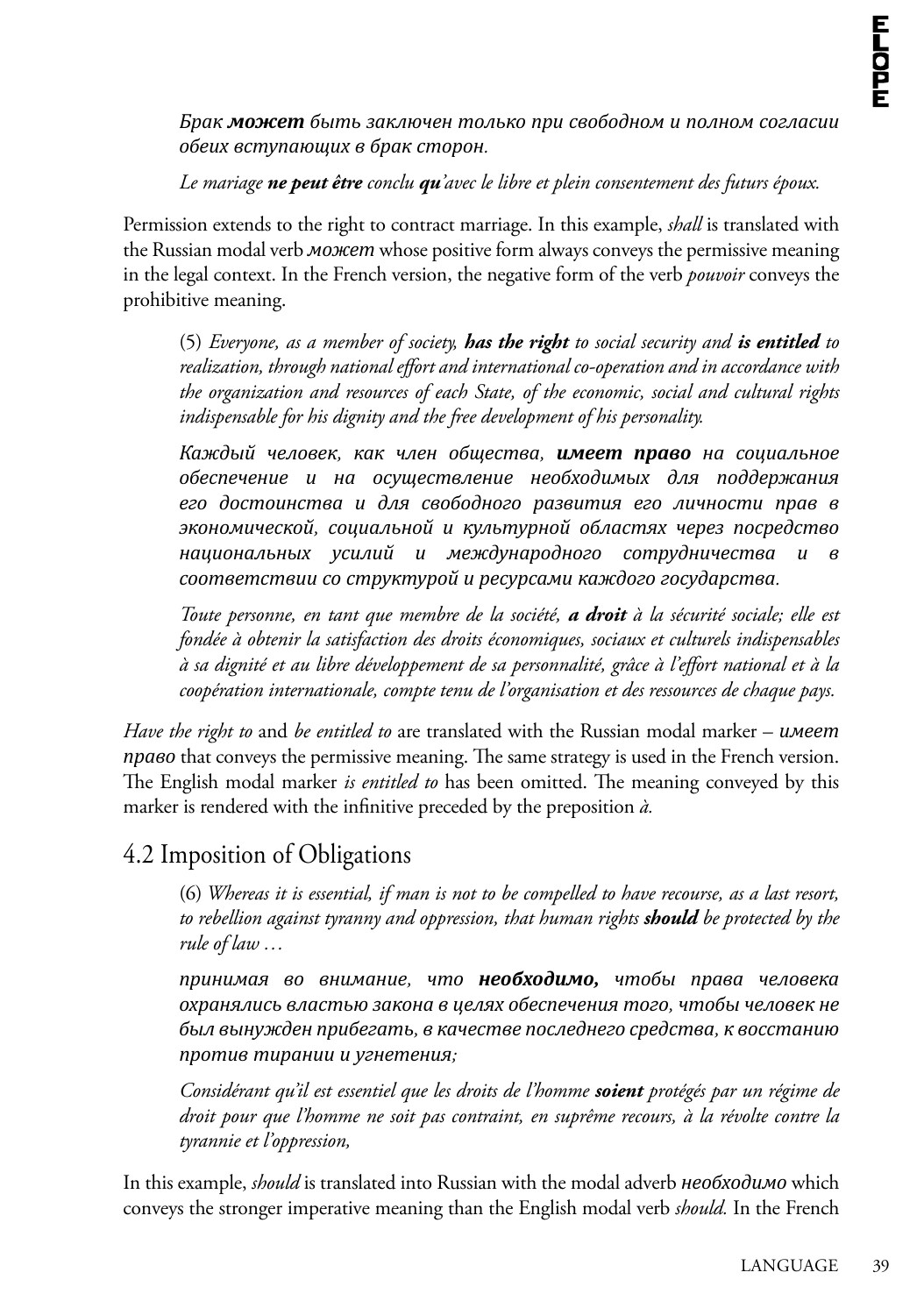*Брак может быть заключен только при свободном и полном согласии обеих вступающих в брак сторон.* 

#### *Le mariage ne peut être conclu qu'avec le libre et plein consentement des futurs époux.*

Permission extends to the right to contract marriage. In this example, *shall* is translated with the Russian modal verb *может* whose positive form always conveys the permissive meaning in the legal context. In the French version, the negative form of the verb *pouvoir* conveys the prohibitive meaning.

(5) *Everyone, as a member of society, has the right to social security and is entitled to realization, through national effort and international co-operation and in accordance with the organization and resources of each State, of the economic, social and cultural rights indispensable for his dignity and the free development of his personality.*

*Каждый человек, как член общества, имеет право на социальное обеспечение и на осуществление необходимых для поддержания его достоинства и для свободного развития его личности прав в экономической, социальной и культурной областях через посредство национальных усилий и международного сотрудничества и в соответствии со структурой и ресурсами каждого государства.*

*Toute personne, en tant que membre de la société, a droit à la sécurité sociale; elle est fondée à obtenir la satisfaction des droits économiques, sociaux et culturels indispensables à sa dignité et au libre développement de sa personnalité, grâce à l'effort national et à la coopération internationale, compte tenu de l'organisation et des ressources de chaque pays.*

*Have the right to* and *be entitled to* are translated with the Russian modal marker – *имеет право* that conveys the permissive meaning. The same strategy is used in the French version. The English modal marker *is entitled to* has been omitted. The meaning conveyed by this marker is rendered with the infinitive preceded by the preposition *à.* 

#### 4.2 Imposition of Obligations

(6) *Whereas it is essential, if man is not to be compelled to have recourse, as a last resort, to rebellion against tyranny and oppression, that human rights should be protected by the rule of law …*

*принимая во внимание, что необходимо, чтобы права человека охранялись властью закона в целях обеспечения того, чтобы человек не был вынужден прибегать, в качестве последнего средства, к восстанию против тирании и угнетения;* 

*Considérant qu'il est essentiel que les droits de l'homme soient protégés par un régime de droit pour que l'homme ne soit pas contraint, en suprême recours, à la révolte contre la tyrannie et l'oppression,*

In this example, *should* is translated into Russian with the modal adverb *необходимо* which conveys the stronger imperative meaning than the English modal verb *should.* In the French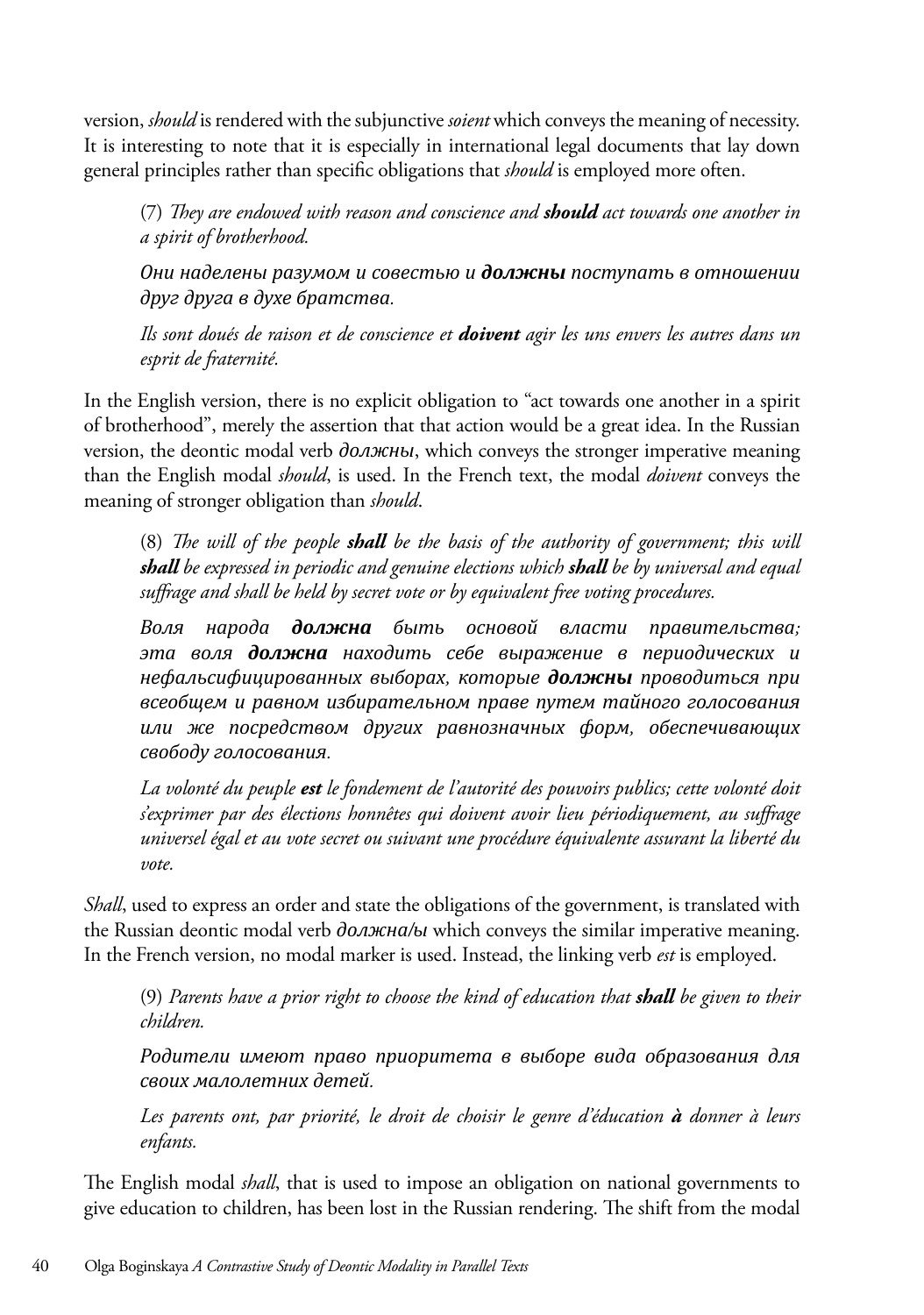version, *should* is rendered with the subjunctive *soient* which conveys the meaning of necessity. It is interesting to note that it is especially in international legal documents that lay down general principles rather than specific obligations that *should* is employed more often.

(7) *They are endowed with reason and conscience and should act towards one another in a spirit of brotherhood.*

*Они наделены разумом и совестью и должны поступать в отношении друг друга в духе братства.*

*Ils sont doués de raison et de conscience et doivent agir les uns envers les autres dans un esprit de fraternité.*

In the English version, there is no explicit obligation to "act towards one another in a spirit of brotherhood", merely the assertion that that action would be a great idea. In the Russian version, the deontic modal verb *должны*, which conveys the stronger imperative meaning than the English modal *should*, is used. In the French text, the modal *doivent* conveys the meaning of stronger obligation than *should*.

(8) *The will of the people shall be the basis of the authority of government; this will shall be expressed in periodic and genuine elections which shall be by universal and equal suffrage and shall be held by secret vote or by equivalent free voting procedures.*

*Воля народа должна быть основой власти правительства; эта воля должна находить себе выражение в периодических и нефальсифицированных выборах, которые должны проводиться при всеобщем и равном избирательном праве путем тайного голосования или же посредством других равнозначных форм, обеспечивающих свободу голосования.*

*La volonté du peuple est le fondement de l'autorité des pouvoirs publics; cette volonté doit s'exprimer par des élections honnêtes qui doivent avoir lieu périodiquement, au suffrage universel égal et au vote secret ou suivant une procédure équivalente assurant la liberté du vote.*

*Shall*, used to express an order and state the obligations of the government, is translated with the Russian deontic modal verb *должна/ы* which conveys the similar imperative meaning. In the French version, no modal marker is used. Instead, the linking verb *est* is employed.

(9) *Parents have a prior right to choose the kind of education that shall be given to their children.*

*Родители имеют право приоритета в выборе вида образования для своих малолетних детей.*

*Les parents ont, par priorité, le droit de choisir le genre d'éducation à donner à leurs enfants.*

The English modal *shall*, that is used to impose an obligation on national governments to give education to children, has been lost in the Russian rendering. The shift from the modal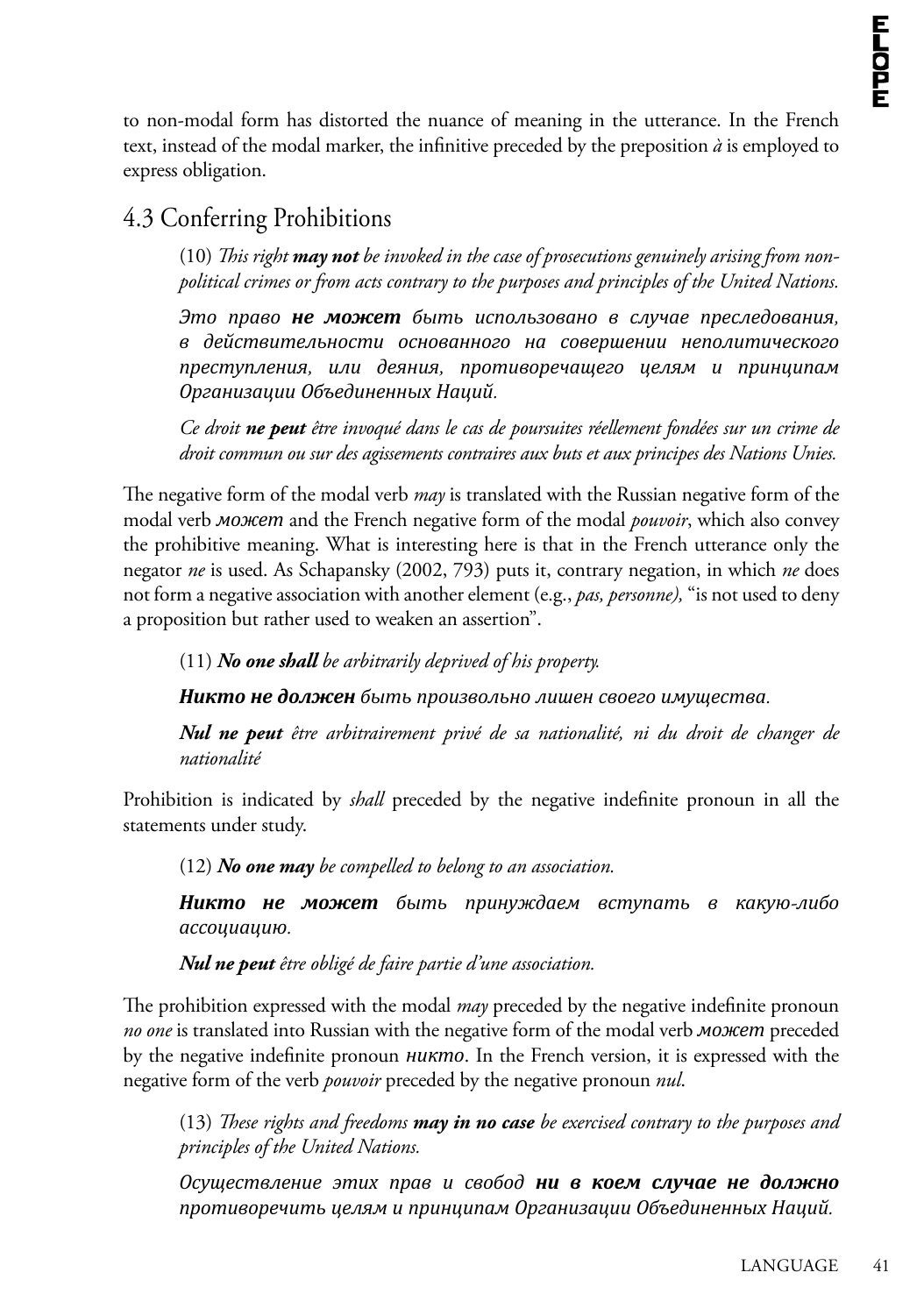to non-modal form has distorted the nuance of meaning in the utterance. In the French text, instead of the modal marker, the infinitive preceded by the preposition  $\dot{a}$  is employed to express obligation.

#### 4.3 Conferring Prohibitions

(10) *This right may not be invoked in the case of prosecutions genuinely arising from nonpolitical crimes or from acts contrary to the purposes and principles of the United Nations.*

*Это право не может быть использовано в случае преследования, в действительности основанного на совершении неполитического преступления, или деяния, противоречащего целям и принципам Организации Объединенных Наций.*

*Ce droit ne peut être invoqué dans le cas de poursuites réellement fondées sur un crime de droit commun ou sur des agissements contraires aux buts et aux principes des Nations Unies.*

The negative form of the modal verb *may* is translated with the Russian negative form of the modal verb *может* and the French negative form of the modal *pouvoir*, which also convey the prohibitive meaning. What is interesting here is that in the French utterance only the negator *ne* is used. As Schapansky (2002, 793) puts it, contrary negation, in which *ne* does not form a negative association with another element (e.g., *pas, personne),* "is not used to deny a proposition but rather used to weaken an assertion".

(11) *No one shall be arbitrarily deprived of his property.*

*Никто не должен быть произвольно лишен своего имущества.*

*Nul ne peut être arbitrairement privé de sa nationalité, ni du droit de changer de nationalité*

Prohibition is indicated by *shall* preceded by the negative indefinite pronoun in all the statements under study.

(12) *No one may be compelled to belong to an association.*

*Никто не может быть принуждаем вступать в какую-либо ассоциацию.*

*Nul ne peut être obligé de faire partie d'une association.*

The prohibition expressed with the modal *may* preceded by the negative indefinite pronoun *no one* is translated into Russian with the negative form of the modal verb *может* preceded by the negative indefinite pronoun *никто*. In the French version, it is expressed with the negative form of the verb *pouvoir* preceded by the negative pronoun *nul*.

(13) *These rights and freedoms may in no case be exercised contrary to the purposes and principles of the United Nations.*

*Осуществление этих прав и свобод ни в коем случае не должно противоречить целям и принципам Организации Объединенных Наций.*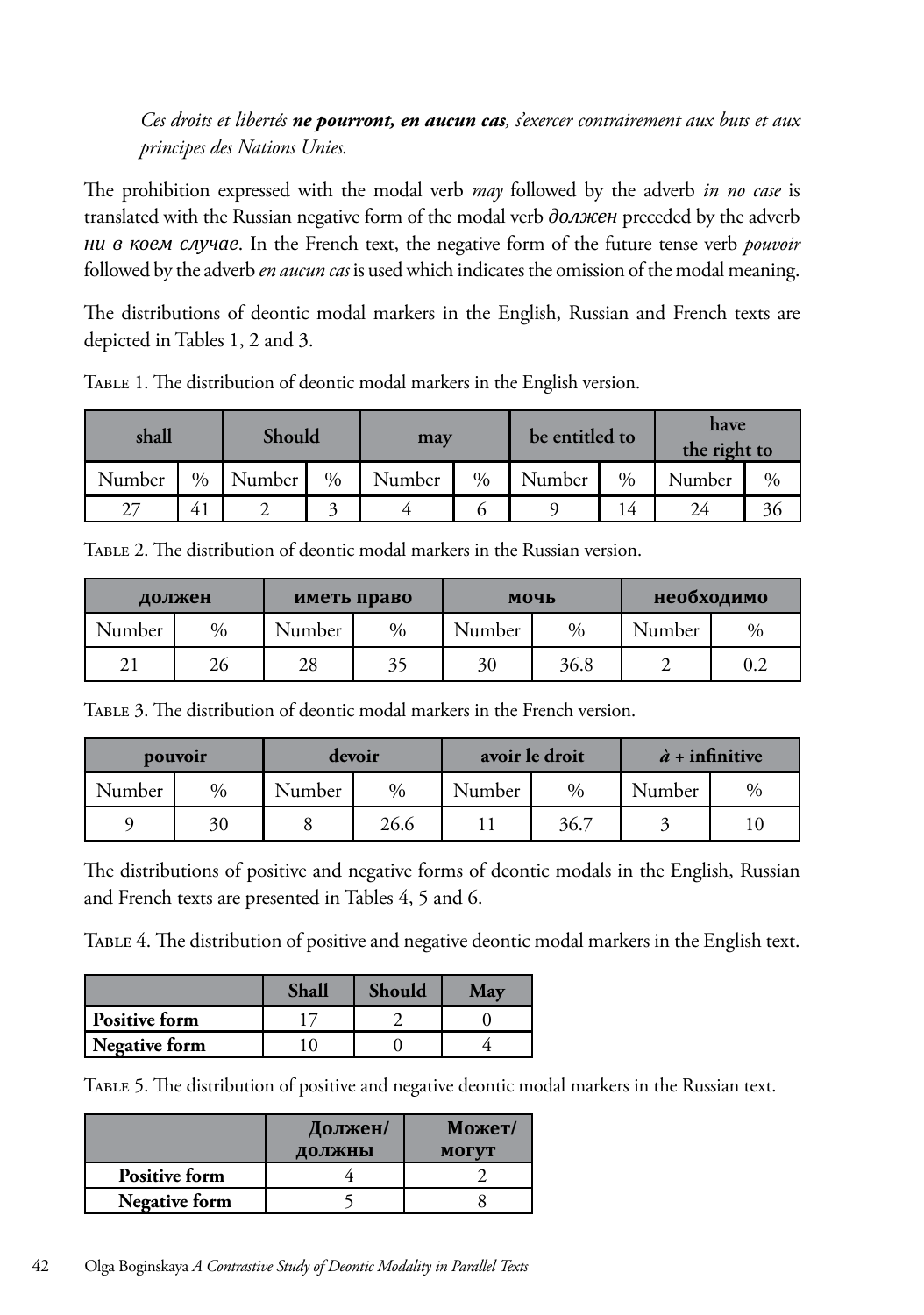#### *Ces droits et libertés ne pourront, en aucun cas, s'exercer contrairement aux buts et aux principes des Nations Unies.*

The prohibition expressed with the modal verb *may* followed by the adverb *in no case* is translated with the Russian negative form of the modal verb *должен* preceded by the adverb *ни в коем случае*. In the French text, the negative form of the future tense verb *pouvoir* followed by the adverb *en aucun cas* is used which indicates the omission of the modal meaning.

The distributions of deontic modal markers in the English, Russian and French texts are depicted in Tables 1, 2 and 3.

| shall  |                | Should |      | may    |               | be entitled to |               | have<br>the right to |      |
|--------|----------------|--------|------|--------|---------------|----------------|---------------|----------------------|------|
| Number | $\%$           | Number | $\%$ | Number | $\frac{0}{0}$ | Number         | $\frac{0}{0}$ | Number               | $\%$ |
| 27     | 4 <sub>1</sub> |        |      |        |               |                | 4             | 24                   | 36   |

Table 1. The distribution of deontic modal markers in the English version.

Table 2. The distribution of deontic modal markers in the Russian version.

| должен |      | иметь право |      | мочь   |               | необходимо |      |
|--------|------|-------------|------|--------|---------------|------------|------|
| Number | $\%$ | Number      | $\%$ | Number | $\frac{0}{0}$ | Number     | $\%$ |
| 21     | 26   | 28          | 35   | 30     | 36.8          |            | 0.2  |

Table 3. The distribution of deontic modal markers in the French version.

| pouvoir |      | devoir |      | avoir le droit |      | $\dot{a}$ + infinitive |      |
|---------|------|--------|------|----------------|------|------------------------|------|
| Number  | $\%$ | Number | $\%$ | Number         | $\%$ | Number                 | $\%$ |
|         | 30   |        | 26.6 |                | 36.7 |                        |      |

The distributions of positive and negative forms of deontic modals in the English, Russian and French texts are presented in Tables 4, 5 and 6.

Table 4. The distribution of positive and negative deontic modal markers in the English text.

|               | Shall | <b>Should</b> |  |
|---------------|-------|---------------|--|
| Positive form |       |               |  |
| Negative form |       |               |  |

Table 5. The distribution of positive and negative deontic modal markers in the Russian text.

|                      | Должен/<br>должны | Может/<br><b>MOTVT</b> |
|----------------------|-------------------|------------------------|
| <b>Positive form</b> |                   |                        |
| <b>Negative form</b> |                   |                        |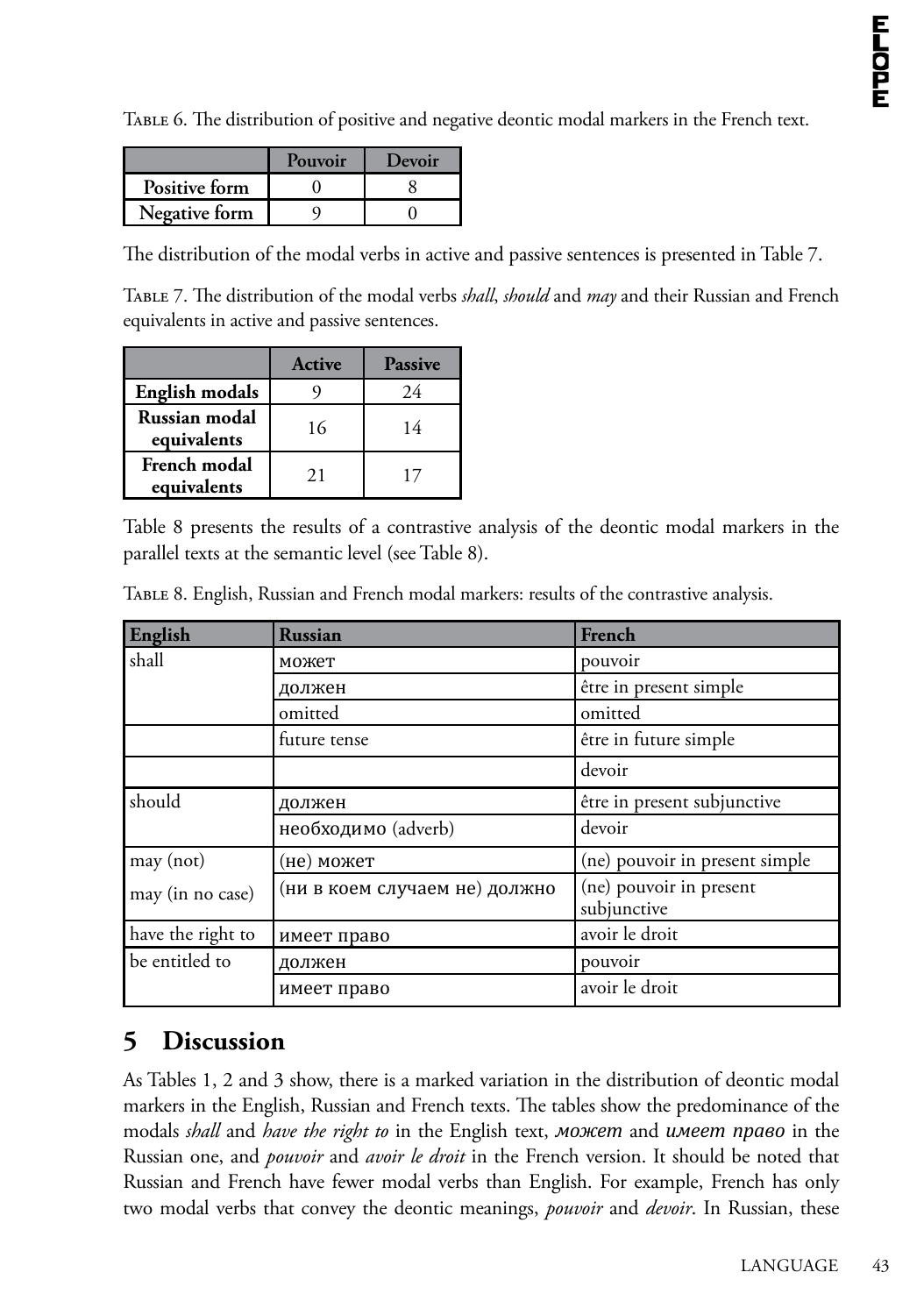Table 6. The distribution of positive and negative deontic modal markers in the French text.

|               | Pouvoir | Devoir |
|---------------|---------|--------|
| Positive form |         |        |
| Negative form |         |        |

The distribution of the modal verbs in active and passive sentences is presented in Table 7.

Table 7. The distribution of the modal verbs *shall*, *should* and *may* and their Russian and French equivalents in active and passive sentences.

|                                    | Active | <b>Passive</b> |
|------------------------------------|--------|----------------|
| <b>English modals</b>              |        | 24             |
| Russian modal<br>equivalents       | 16     | 14             |
| <b>French modal</b><br>equivalents | 21     |                |

Table 8 presents the results of a contrastive analysis of the deontic modal markers in the parallel texts at the semantic level (see Table 8).

| English           | <b>Russian</b>                | French                                 |
|-------------------|-------------------------------|----------------------------------------|
| shall             | может                         | pouvoir                                |
|                   | должен                        | être in present simple                 |
|                   | omitted                       | omitted                                |
|                   | future tense                  | être in future simple                  |
|                   |                               | devoir                                 |
| should            | должен                        | être in present subjunctive            |
|                   | необходимо (adverb)           | devoir                                 |
| may (not)         | (не) может                    | (ne) pouvoir in present simple         |
| may (in no case)  | (ни в коем случаем не) должно | (ne) pouvoir in present<br>subjunctive |
| have the right to | имеет право                   | avoir le droit                         |
| be entitled to    | должен                        | pouvoir                                |
|                   | имеет право                   | avoir le droit                         |

Table 8. English, Russian and French modal markers: results of the contrastive analysis.

#### **5 Discussion**

As Tables 1, 2 and 3 show, there is a marked variation in the distribution of deontic modal markers in the English, Russian and French texts. The tables show the predominance of the modals *shall* and *have the right to* in the English text, *может* and *имеет право* in the Russian one, and *pouvoir* and *avoir le droit* in the French version. It should be noted that Russian and French have fewer modal verbs than English. For example, French has only two modal verbs that convey the deontic meanings, *pouvoir* and *devoir*. In Russian, these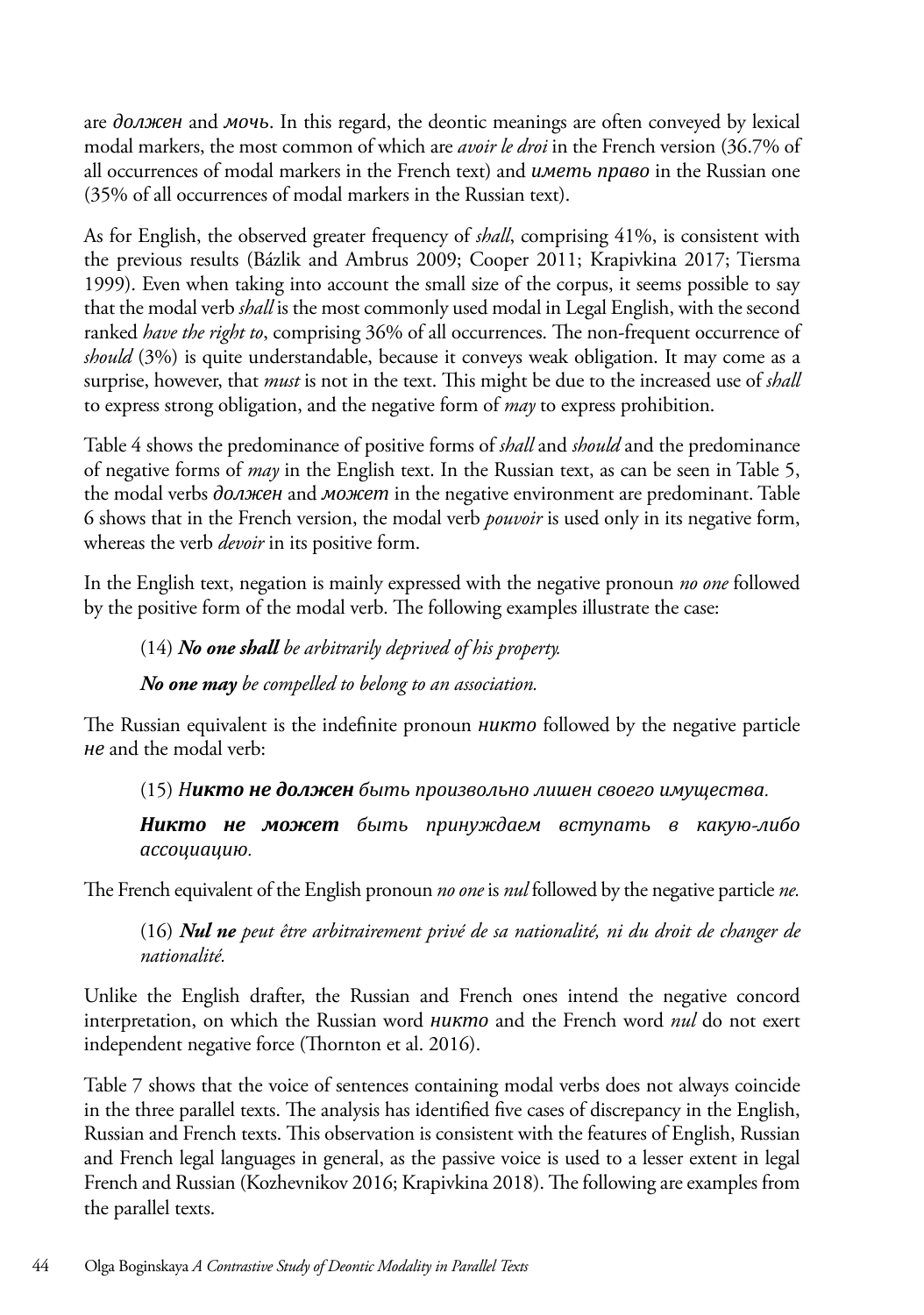are *должен* and *мочь*. In this regard, the deontic meanings are often conveyed by lexical modal markers, the most common of which are *avoir le droi* in the French version (36.7% of all occurrences of modal markers in the French text) and *иметь право* in the Russian one (35% of all occurrences of modal markers in the Russian text).

As for English, the observed greater frequency of *shall*, comprising 41%, is consistent with the previous results (Bázlik and Ambrus 2009; Cooper 2011; Krapivkina 2017; Tiersma 1999). Even when taking into account the small size of the corpus, it seems possible to say that the modal verb *shall* is the most commonly used modal in Legal English, with the second ranked *have the right to*, comprising 36% of all occurrences. The non-frequent occurrence of *should* (3%) is quite understandable, because it conveys weak obligation. It may come as a surprise, however, that *must* is not in the text. This might be due to the increased use of *shall*  to express strong obligation, and the negative form of *may* to express prohibition.

Table 4 shows the predominance of positive forms of *shall* and *should* and the predominance of negative forms of *may* in the English text. In the Russian text, as can be seen in Table 5, the modal verbs *должен* and *может* in the negative environment are predominant. Table 6 shows that in the French version, the modal verb *pouvoir* is used only in its negative form, whereas the verb *devoir* in its positive form.

In the English text, negation is mainly expressed with the negative pronoun *no one* followed by the positive form of the modal verb. The following examples illustrate the case:

#### (14) *No one shall be arbitrarily deprived of his property.*

*No one may be compelled to belong to an association.*

The Russian equivalent is the indefinite pronoun *никто* followed by the negative particle *не* and the modal verb:

(15) *Никто не должен быть произвольно лишен своего имущества.*

*Никто не может быть принуждаем вступать в какую-либо ассоциацию.*

The French equivalent of the English pronoun *no one* is *nul* followed by the negative particle *ne.*

(16) *Nul ne peut être arbitrairement privé de sa nationalité, ni du droit de changer de nationalité.* 

Unlike the English drafter, the Russian and French ones intend the negative concord interpretation, on which the Russian word *никто* and the French word *nul* do not exert independent negative force (Thornton et al. 2016).

Table 7 shows that the voice of sentences containing modal verbs does not always coincide in the three parallel texts. The analysis has identified five cases of discrepancy in the English, Russian and French texts. This observation is consistent with the features of English, Russian and French legal languages in general, as the passive voice is used to a lesser extent in legal French and Russian (Kozhevnikov 2016; Krapivkina 2018). The following are examples from the parallel texts.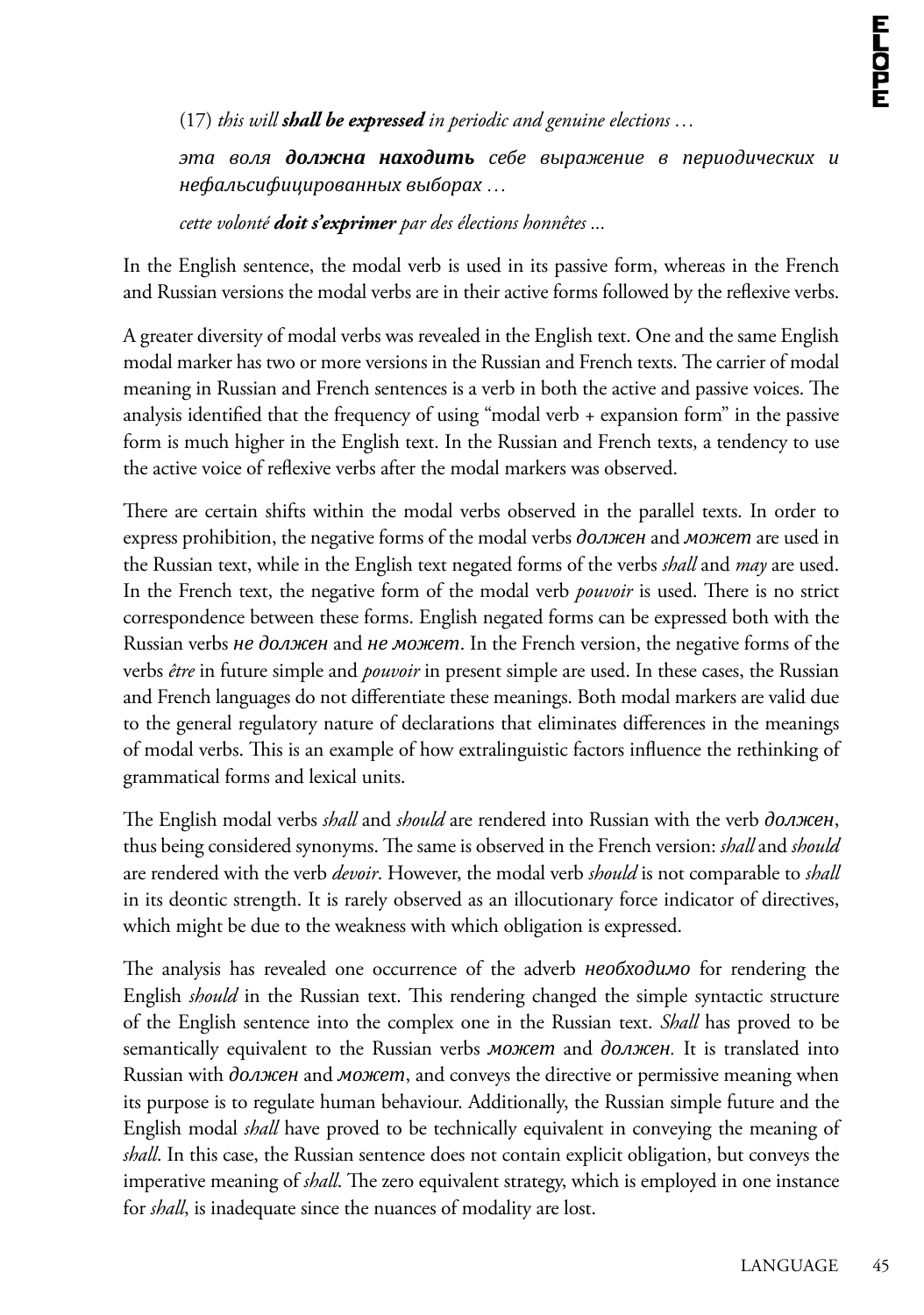(17) *this will shall be expressed in periodic and genuine elections …*

*эта воля должна находить себе выражение в периодических и нефальсифицированных выборах …*

*cette volonté doit s'exprimer par des élections honnêtes ...*

In the English sentence, the modal verb is used in its passive form, whereas in the French and Russian versions the modal verbs are in their active forms followed by the reflexive verbs.

A greater diversity of modal verbs was revealed in the English text. One and the same English modal marker has two or more versions in the Russian and French texts. The carrier of modal meaning in Russian and French sentences is a verb in both the active and passive voices. The analysis identified that the frequency of using "modal verb + expansion form" in the passive form is much higher in the English text. In the Russian and French texts, a tendency to use the active voice of reflexive verbs after the modal markers was observed.

There are certain shifts within the modal verbs observed in the parallel texts. In order to express prohibition, the negative forms of the modal verbs *должен* and *может* are used in the Russian text, while in the English text negated forms of the verbs *shall* and *may* are used. In the French text, the negative form of the modal verb *pouvoir* is used. There is no strict correspondence between these forms. English negated forms can be expressed both with the Russian verbs *не должен* and *не может*. In the French version, the negative forms of the verbs *être* in future simple and *pouvoir* in present simple are used. In these cases, the Russian and French languages do not differentiate these meanings. Both modal markers are valid due to the general regulatory nature of declarations that eliminates differences in the meanings of modal verbs. This is an example of how extralinguistic factors influence the rethinking of grammatical forms and lexical units.

The English modal verbs *shall* and *should* are rendered into Russian with the verb *должен*, thus being considered synonyms. The same is observed in the French version: *shall* and *should* are rendered with the verb *devoir*. However, the modal verb *should* is not comparable to *shall*  in its deontic strength. It is rarely observed as an illocutionary force indicator of directives, which might be due to the weakness with which obligation is expressed.

The analysis has revealed one occurrence of the adverb *необходимо* for rendering the English *should* in the Russian text. This rendering changed the simple syntactic structure of the English sentence into the complex one in the Russian text. *Shall* has proved to be semantically equivalent to the Russian verbs *может* and *должен.* It is translated into Russian with *должен* and *может*, and conveys the directive or permissive meaning when its purpose is to regulate human behaviour. Additionally, the Russian simple future and the English modal *shall* have proved to be technically equivalent in conveying the meaning of *shall*. In this case, the Russian sentence does not contain explicit obligation, but conveys the imperative meaning of *shall*. The zero equivalent strategy, which is employed in one instance for *shall*, is inadequate since the nuances of modality are lost.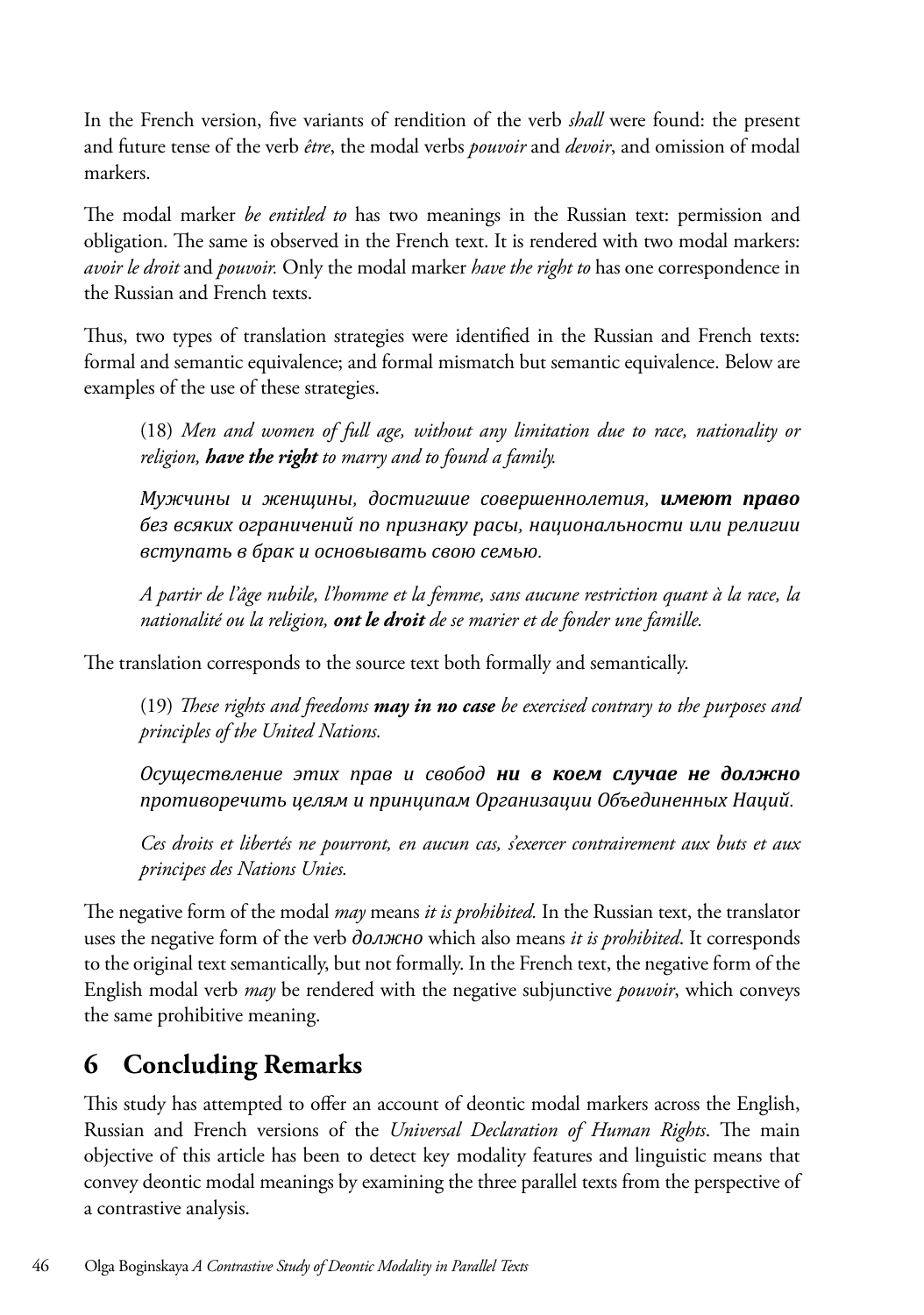In the French version, five variants of rendition of the verb *shall* were found: the present and future tense of the verb *être*, the modal verbs *pouvoir* and *devoir*, and omission of modal markers.

The modal marker *be entitled to* has two meanings in the Russian text: permission and obligation. The same is observed in the French text. It is rendered with two modal markers: *avoir le droit* and *pouvoir.* Only the modal marker *have the right to* has one correspondence in the Russian and French texts.

Thus, two types of translation strategies were identified in the Russian and French texts: formal and semantic equivalence; and formal mismatch but semantic equivalence. Below are examples of the use of these strategies.

(18) *Men and women of full age, without any limitation due to race, nationality or religion, have the right to marry and to found a family.*

*Мужчины и женщины, достигшие совершеннолетия, имеют право без всяких ограничений по признаку расы, национальности или религии вступать в брак и основывать свою семью.*

*A partir de l'âge nubile, l'homme et la femme, sans aucune restriction quant à la race, la nationalité ou la religion, ont le droit de se marier et de fonder une famille.*

The translation corresponds to the source text both formally and semantically.

(19) *These rights and freedoms may in no case be exercised contrary to the purposes and principles of the United Nations.*

*Осуществление этих прав и свобод ни в коем случае не должно противоречить целям и принципам Организации Объединенных Наций.*

*Ces droits et libertés ne pourront, en aucun cas, s'exercer contrairement aux buts et aux principes des Nations Unies.*

The negative form of the modal *may* means *it is prohibited.* In the Russian text, the translator uses the negative form of the verb *должно* which also means *it is prohibited*. It corresponds to the original text semantically, but not formally. In the French text, the negative form of the English modal verb *may* be rendered with the negative subjunctive *pouvoir*, which conveys the same prohibitive meaning.

## **6 Concluding Remarks**

This study has attempted to offer an account of deontic modal markers across the English, Russian and French versions of the *Universal Declaration of Human Rights*. The main objective of this article has been to detect key modality features and linguistic means that convey deontic modal meanings by examining the three parallel texts from the perspective of a contrastive analysis.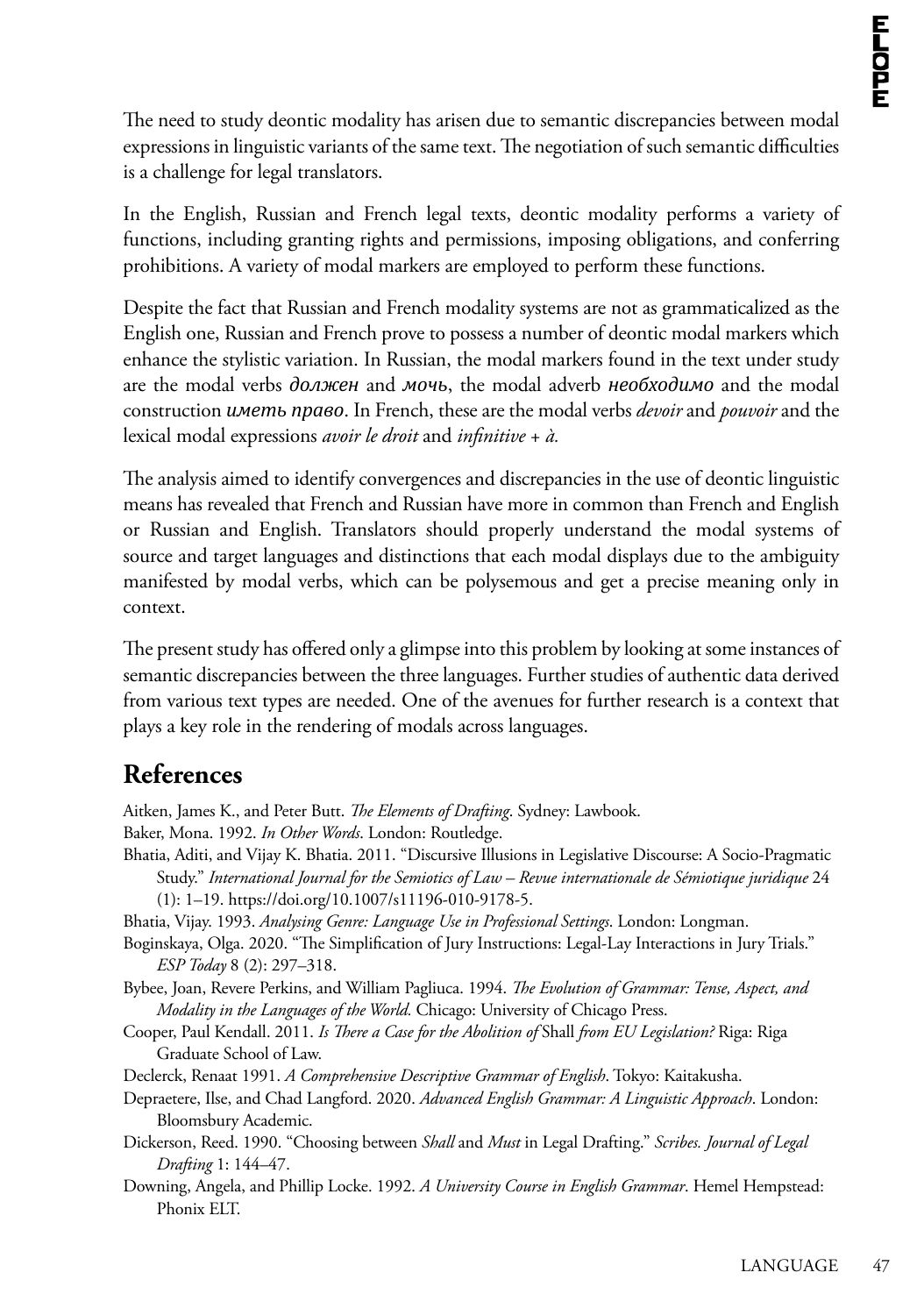The need to study deontic modality has arisen due to semantic discrepancies between modal expressions in linguistic variants of the same text. The negotiation of such semantic difficulties is a challenge for legal translators.

In the English, Russian and French legal texts, deontic modality performs a variety of functions, including granting rights and permissions, imposing obligations, and conferring prohibitions. A variety of modal markers are employed to perform these functions.

Despite the fact that Russian and French modality systems are not as grammaticalized as the English one, Russian and French prove to possess a number of deontic modal markers which enhance the stylistic variation. In Russian, the modal markers found in the text under study are the modal verbs *должен* and *мочь*, the modal adverb *необходимо* and the modal construction *иметь право*. In French, these are the modal verbs *devoir* and *pouvoir* and the lexical modal expressions *avoir le droit* and *infinitive* + *à.*

The analysis aimed to identify convergences and discrepancies in the use of deontic linguistic means has revealed that French and Russian have more in common than French and English or Russian and English. Translators should properly understand the modal systems of source and target languages and distinctions that each modal displays due to the ambiguity manifested by modal verbs, which can be polysemous and get a precise meaning only in context.

The present study has offered only a glimpse into this problem by looking at some instances of semantic discrepancies between the three languages. Further studies of authentic data derived from various text types are needed. One of the avenues for further research is a context that plays a key role in the rendering of modals across languages.

## **References**

Aitken, James K., and Peter Butt. *The Elements of Drafting*. Sydney: Lawbook.

Baker, Mona. 1992. *In Other Words*. London: Routledge.

- Bhatia, Aditi, and Vijay K. Bhatia. 2011. "Discursive Illusions in Legislative Discourse: A Socio-Pragmatic Study." *International Journal for the Semiotics of Law – Revue internationale de Sémiotique juridique* 24 (1): 1–19. [https://doi.org/10.1007/s11196-010-9178-5.](https://doi.org/10.1007/s11196-010-9178-5)
- Bhatia, Vijay. 1993. *Analysing Genre: Language Use in Professional Settings*. London: Longman.

Boginskaya, Olga. 2020. "The Simplification of Jury Instructions: Legal-Lay Interactions in Jury Trials." *ESP Today* 8 (2): 297–318.

Bybee, Joan, Revere Perkins, and William Pagliuca. 1994. *The Evolution of Grammar: Tense, Aspect, and Modality in the Languages of the World.* Chicago: University of Chicago Press.

- Cooper, Paul Kendall. 2011. *Is There a Case for the Abolition of* Shall *from EU Legislation?* Riga: Riga Graduate School of Law.
- Declerck, Renaat 1991. *A Comprehensive Descriptive Grammar of English*. Tokyo: Kaitakusha.
- Depraetere, Ilse, and Chad Langford. 2020. *Advanced English Grammar: A Linguistic Approach*. London: Bloomsbury Academic.
- Dickerson, Reed. 1990. "Choosing between *Shall* and *Must* in Legal Drafting." *Scribes. Journal of Legal Drafting* 1: 144–47.
- Downing, Angela, and Phillip Locke. 1992. *A University Course in English Grammar*. Hemel Hempstead: Phonix ELT.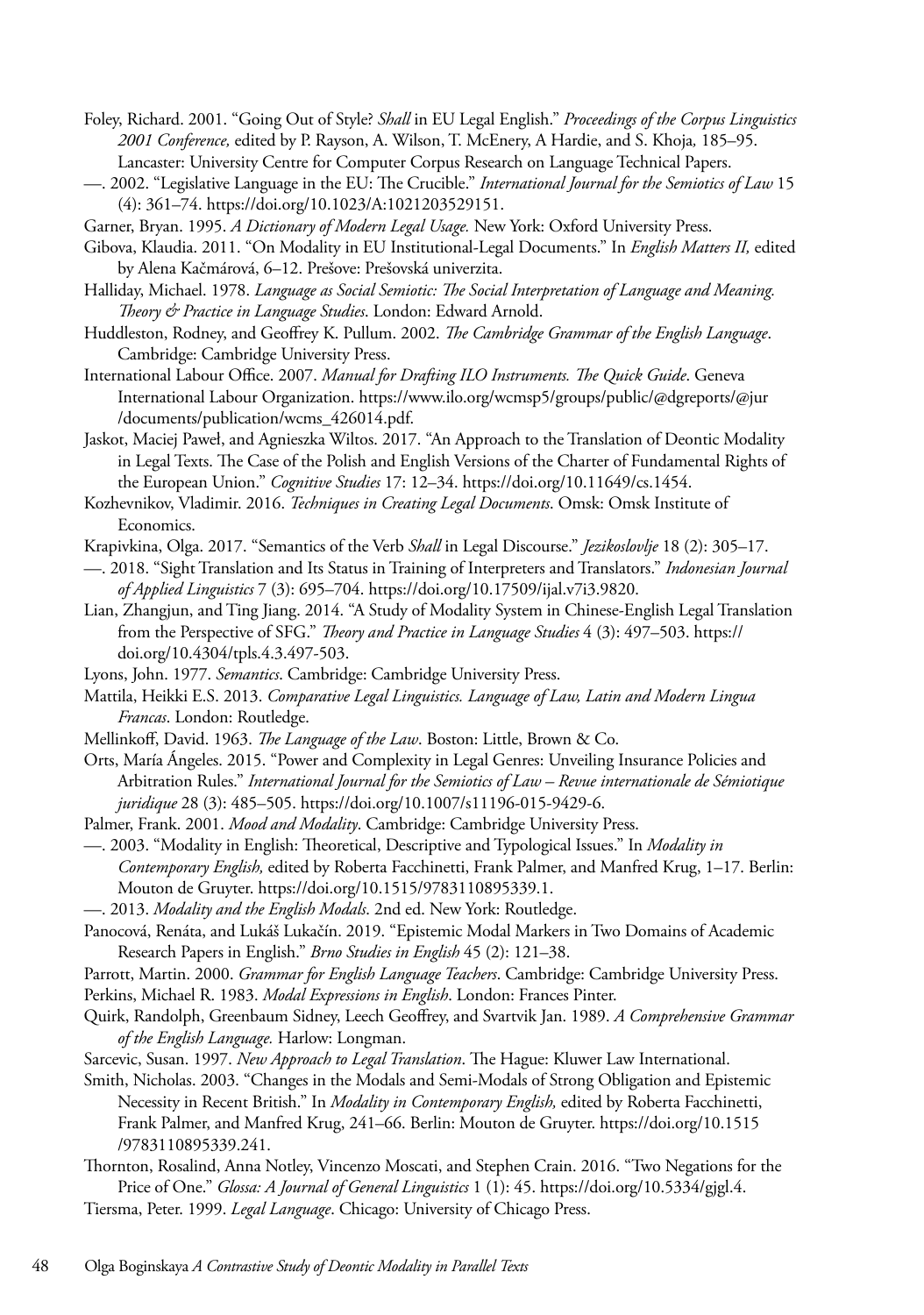- Foley, Richard. 2001. "Going Out of Style? *Shall* in EU Legal English." *Proceedings of the Corpus Linguistics 2001 Conference,* edited by P. Rayson, A. Wilson, T. McEnery, A Hardie, and S. Khoja*,* 185–95. Lancaster: University Centre for Computer Corpus Research on Language Technical Papers.
- —. 2002. "Legislative Language in the EU: The Crucible." *International Journal for the Semiotics of Law* 15 (4): 361–74. <https://doi.org/10.1023/A:1021203529151>.
- Garner, Bryan. 1995. *A Dictionary of Modern Legal Usage.* New York: Oxford University Press.

Gibova, Klaudia. 2011. "On Modality in EU Institutional-Legal Documents." In *English Matters II,* edited by Alena Kačmárová, 6–12. Prešove: Prešovská univerzita.

- Halliday, Michael. 1978. *Language as Social Semiotic: The Social Interpretation of Language and Meaning. Theory & Practice in Language Studies*. London: Edward Arnold.
- Huddleston, Rodney, and Geoffrey K. Pullum. 2002. *The Cambridge Grammar of the English Language*. Cambridge: Cambridge University Press.

International Labour Office. 2007. *Manual for Drafting ILO Instruments. The Quick Guide*. Geneva International Labour Organization. [https://www.ilo.org/wcmsp5/groups/public/@dgreports/@jur](https://www.ilo.org/wcmsp5/groups/public/@dgreports/@jur/documents/publication/wcms_426014.pdf) [/documents/publication/wcms\\_426014.pdf.](https://www.ilo.org/wcmsp5/groups/public/@dgreports/@jur/documents/publication/wcms_426014.pdf)

Jaskot, Maciej Paweł, and Agnieszka Wiltos. 2017. "An Approach to the Translation of Deontic Modality in Legal Texts. The Case of the Polish and English Versions of the Charter of Fundamental Rights of the European Union." *Cognitive Studies* 17: 12–34.<https://doi.org/10.11649/cs.1454>.

Kozhevnikov, Vladimir. 2016. *Techniques in Creating Legal Documents*. Omsk: Omsk Institute of Economics.

Krapivkina, Olga. 2017. "Semantics of the Verb *Shall* in Legal Discourse." *Jezikoslovlje* 18 (2): 305–17.

—. 2018. "Sight Translation and Its Status in Training of Interpreters and Translators." *Indonesian Journal of Applied Linguistics* 7 (3): 695–704. [https://doi.org/10.17509/ijal.v7i3.9820.](https://doi.org/10.17509/ijal.v7i3.9820)

- Lian, Zhangjun, and Ting Jiang. 2014. "A Study of Modality System in Chinese-English Legal Translation from the Perspective of SFG." *Theory and Practice in Language Studies* 4 (3): 497–503. [https://](https://doi.org/10.4304/tpls.4.3.497-503) [doi.org/10.4304/tpls.4.3.497-503.](https://doi.org/10.4304/tpls.4.3.497-503)
- Lyons, John. 1977. *Semantics*. Cambridge: Cambridge University Press.

Mattila, Heikki E.S. 2013. *Comparative Legal Linguistics. Language of Law, Latin and Modern Lingua Francas*. London: Routledge.

- Mellinkoff, David. 1963. *The Language of the Law*. Boston: Little, Brown & Co.
- Orts, María Ángeles. 2015. "Power and Complexity in Legal Genres: Unveiling Insurance Policies and Arbitration Rules." *International Journal for the Semiotics of Law – Revue internationale de Sémiotique juridique* 28 (3): 485–505.<https://doi.org/10.1007/s11196-015-9429-6>.
- Palmer, Frank. 2001. *Mood and Modality*. Cambridge: Cambridge University Press.

—. 2003. "Modality in English: Theoretical, Descriptive and Typological Issues." In *Modality in Contemporary English,* edited by Roberta Facchinetti, Frank Palmer, and Manfred Krug, 1–17. Berlin: Mouton de Gruyter. <https://doi.org/10.1515/9783110895339.1>.

- —. 2013. *Modality and the English Modals*. 2nd ed. New York: Routledge.
- Panocová, Renáta, and Lukáš Lukačín. 2019. "Epistemic Modal Markers in Two Domains of Academic Research Papers in English." *Brno Studies in English* 45 (2): 121–38.

Parrott, Martin. 2000. *Grammar for English Language Teachers*. Cambridge: Cambridge University Press.

Perkins, Michael R. 1983. *Modal Expressions in English*. London: Frances Pinter.

Quirk, Randolph, Greenbaum Sidney, Leech Geoffrey, and Svartvik Jan. 1989. *A Comprehensive Grammar of the English Language.* Harlow: Longman.

- Sarcevic, Susan. 1997. *New Approach to Legal Translation*. The Hague: Kluwer Law International.
- Smith, Nicholas. 2003. "Changes in the Modals and Semi-Modals of Strong Obligation and Epistemic Necessity in Recent British." In *Modality in Contemporary English,* edited by Roberta Facchinetti, Frank Palmer, and Manfred Krug, 241–66. Berlin: Mouton de Gruyter. [https://doi.org/10.1515](https://doi.org/10.1515/9783110895339.241) [/9783110895339.241](https://doi.org/10.1515/9783110895339.241).
- Thornton, Rosalind, Anna Notley, Vincenzo Moscati, and Stephen Crain. 2016. "Two Negations for the Price of One." *Glossa: A Journal of General Linguistics* 1 (1): 45. [https://doi.org/10.5334/gjgl.4.](https://doi.org/10.5334/gjgl.4)

Tiersma, Peter. 1999. *Legal Language*. Chicago: University of Chicago Press.